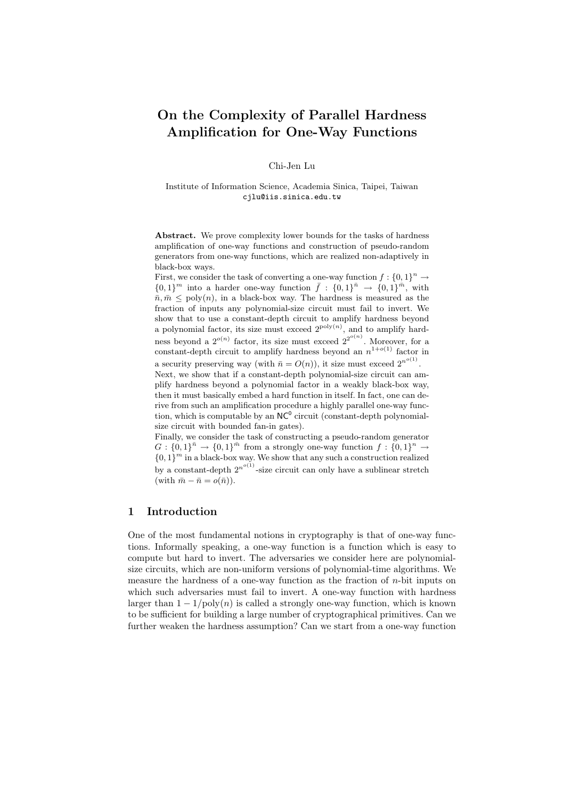# On the Complexity of Parallel Hardness Amplification for One-Way Functions

Chi-Jen Lu

Institute of Information Science, Academia Sinica, Taipei, Taiwan cjlu@iis.sinica.edu.tw

Abstract. We prove complexity lower bounds for the tasks of hardness amplification of one-way functions and construction of pseudo-random generators from one-way functions, which are realized non-adaptively in black-box ways.

First, we consider the task of converting a one-way function  $f: \{0,1\}^n \to$  ${0,1}^m$  into a harder one-way function  $\bar{f}: {0,1}^{\bar{n}} \to {0,1}^{\bar{m}}$ , with  $\bar{n}, \bar{m} \leq \text{poly}(n)$ , in a black-box way. The hardness is measured as the fraction of inputs any polynomial-size circuit must fail to invert. We show that to use a constant-depth circuit to amplify hardness beyond a polynomial factor, its size must exceed  $2^{poly(n)}$ , and to amplify hardness beyond a  $2^{o(n)}$  factor, its size must exceed  $2^{2^{o(n)}}$ . Moreover, for a constant-depth circuit to amplify hardness beyond an  $n^{1+o(1)}$  factor in a security preserving way (with  $\bar{n} = O(n)$ ), it size must exceed  $2^{n^{o(1)}}$ .

Next, we show that if a constant-depth polynomial-size circuit can amplify hardness beyond a polynomial factor in a weakly black-box way, then it must basically embed a hard function in itself. In fact, one can derive from such an amplification procedure a highly parallel one-way function, which is computable by an  $NC^0$  circuit (constant-depth polynomialsize circuit with bounded fan-in gates).

Finally, we consider the task of constructing a pseudo-random generator  $G: \{0,1\}^{\bar{n}} \to \{0,1\}^{\bar{m}}$  from a strongly one-way function  $f: \{0,1\}^n \to$  $\{0,1\}^m$  in a black-box way. We show that any such a construction realized by a constant-depth  $2^{n^{o(1)}}$ -size circuit can only have a sublinear stretch (with  $\bar{m} - \bar{n} = o(\bar{n})$ ).

# 1 Introduction

One of the most fundamental notions in cryptography is that of one-way functions. Informally speaking, a one-way function is a function which is easy to compute but hard to invert. The adversaries we consider here are polynomialsize circuits, which are non-uniform versions of polynomial-time algorithms. We measure the hardness of a one-way function as the fraction of n-bit inputs on which such adversaries must fail to invert. A one-way function with hardness larger than  $1 - 1/\text{poly}(n)$  is called a strongly one-way function, which is known to be sufficient for building a large number of cryptographical primitives. Can we further weaken the hardness assumption? Can we start from a one-way function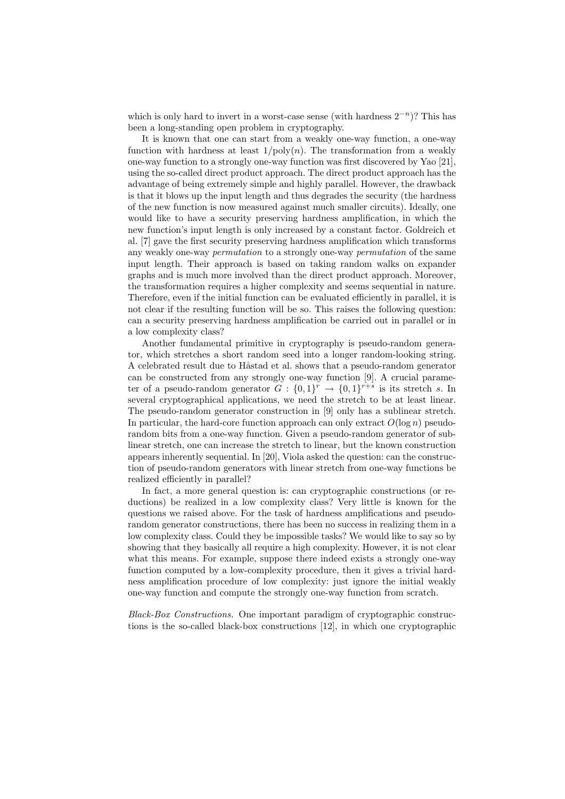which is only hard to invert in a worst-case sense (with hardness  $2^{-n}$ )? This has been a long-standing open problem in cryptography.

It is known that one can start from a weakly one-way function, a one-way function with hardness at least  $1/poly(n)$ . The transformation from a weakly one-way function to a strongly one-way function was first discovered by Yao [21], using the so-called direct product approach. The direct product approach has the advantage of being extremely simple and highly parallel. However, the drawback is that it blows up the input length and thus degrades the security (the hardness of the new function is now measured against much smaller circuits). Ideally, one would like to have a security preserving hardness amplification, in which the new function's input length is only increased by a constant factor. Goldreich et al. [7] gave the first security preserving hardness amplification which transforms any weakly one-way permutation to a strongly one-way permutation of the same input length. Their approach is based on taking random walks on expander graphs and is much more involved than the direct product approach. Moreover, the transformation requires a higher complexity and seems sequential in nature. Therefore, even if the initial function can be evaluated efficiently in parallel, it is not clear if the resulting function will be so. This raises the following question: can a security preserving hardness amplification be carried out in parallel or in a low complexity class?

Another fundamental primitive in cryptography is pseudo-random generator, which stretches a short random seed into a longer random-looking string. A celebrated result due to Håstad et al. shows that a pseudo-random generator can be constructed from any strongly one-way function [9]. A crucial parameter of a pseudo-random generator  $G: \{0,1\}^r \to \{0,1\}^{r+s}$  is its stretch s. In several cryptographical applications, we need the stretch to be at least linear. The pseudo-random generator construction in [9] only has a sublinear stretch. In particular, the hard-core function approach can only extract  $O(\log n)$  pseudorandom bits from a one-way function. Given a pseudo-random generator of sublinear stretch, one can increase the stretch to linear, but the known construction appears inherently sequential. In [20], Viola asked the question: can the construction of pseudo-random generators with linear stretch from one-way functions be realized efficiently in parallel?

In fact, a more general question is: can cryptographic constructions (or reductions) be realized in a low complexity class? Very little is known for the questions we raised above. For the task of hardness amplifications and pseudorandom generator constructions, there has been no success in realizing them in a low complexity class. Could they be impossible tasks? We would like to say so by showing that they basically all require a high complexity. However, it is not clear what this means. For example, suppose there indeed exists a strongly one-way function computed by a low-complexity procedure, then it gives a trivial hardness amplification procedure of low complexity: just ignore the initial weakly one-way function and compute the strongly one-way function from scratch.

Black-Box Constructions. One important paradigm of cryptographic constructions is the so-called black-box constructions [12], in which one cryptographic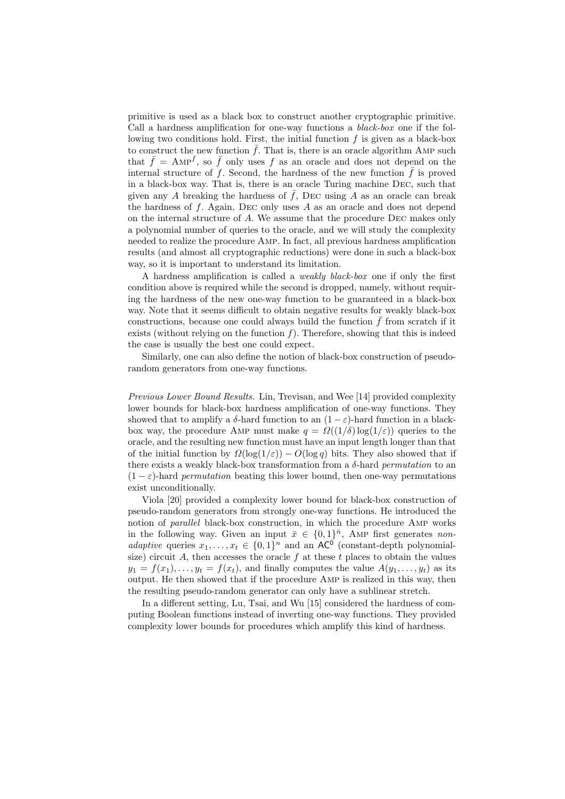primitive is used as a black box to construct another cryptographic primitive. Call a hardness amplification for one-way functions a black-box one if the following two conditions hold. First, the initial function  $f$  is given as a black-box to construct the new function  $\bar{f}$ . That is, there is an oracle algorithm AMP such that  $\bar{f} = \text{AMP}^f$ , so  $\bar{f}$  only uses f as an oracle and does not depend on the internal structure of f. Second, the hardness of the new function  $\bar{f}$  is proved in a black-box way. That is, there is an oracle Turing machine Dec, such that given any A breaking the hardness of  $\bar{f}$ , DEC using A as an oracle can break the hardness of  $f$ . Again, DEC only uses  $A$  as an oracle and does not depend on the internal structure of A. We assume that the procedure Dec makes only a polynomial number of queries to the oracle, and we will study the complexity needed to realize the procedure Amp. In fact, all previous hardness amplification results (and almost all cryptographic reductions) were done in such a black-box way, so it is important to understand its limitation.

A hardness amplification is called a weakly black-box one if only the first condition above is required while the second is dropped, namely, without requiring the hardness of the new one-way function to be guaranteed in a black-box way. Note that it seems difficult to obtain negative results for weakly black-box constructions, because one could always build the function  $f$  from scratch if it exists (without relying on the function  $f$ ). Therefore, showing that this is indeed the case is usually the best one could expect.

Similarly, one can also define the notion of black-box construction of pseudorandom generators from one-way functions.

Previous Lower Bound Results. Lin, Trevisan, and Wee [14] provided complexity lower bounds for black-box hardness amplification of one-way functions. They showed that to amplify a  $\delta$ -hard function to an  $(1 - \varepsilon)$ -hard function in a blackbox way, the procedure AMP must make  $q = \Omega((1/\delta) \log(1/\varepsilon))$  queries to the oracle, and the resulting new function must have an input length longer than that of the initial function by  $\Omega(\log(1/\varepsilon)) - O(\log q)$  bits. They also showed that if there exists a weakly black-box transformation from a  $\delta$ -hard *permutation* to an  $(1 - \varepsilon)$ -hard permutation beating this lower bound, then one-way permutations exist unconditionally.

Viola [20] provided a complexity lower bound for black-box construction of pseudo-random generators from strongly one-way functions. He introduced the notion of parallel black-box construction, in which the procedure Amp works in the following way. Given an input  $\bar{x} \in \{0,1\}^{\bar{n}}$ , AMP first generates nonadaptive queries  $x_1, \ldots, x_t \in \{0,1\}^n$  and an AC<sup>0</sup> (constant-depth polynomialsize) circuit A, then accesses the oracle  $f$  at these  $t$  places to obtain the values  $y_1 = f(x_1), \ldots, y_t = f(x_t)$ , and finally computes the value  $A(y_1, \ldots, y_t)$  as its output. He then showed that if the procedure Amp is realized in this way, then the resulting pseudo-random generator can only have a sublinear stretch.

In a different setting, Lu, Tsai, and Wu [15] considered the hardness of computing Boolean functions instead of inverting one-way functions. They provided complexity lower bounds for procedures which amplify this kind of hardness.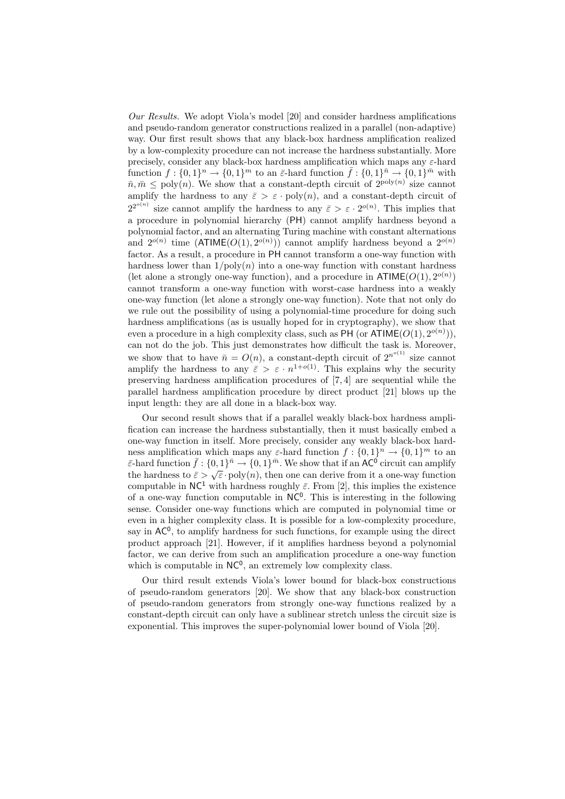Our Results. We adopt Viola's model [20] and consider hardness amplifications and pseudo-random generator constructions realized in a parallel (non-adaptive) way. Our first result shows that any black-box hardness amplification realized by a low-complexity procedure can not increase the hardness substantially. More precisely, consider any black-box hardness amplification which maps any  $\varepsilon$ -hard function  $f: \{0,1\}^n \to \{0,1\}^m$  to an  $\bar{\varepsilon}$ -hard function  $\bar{f}: \{0,1\}^{\bar{n}} \to \{0,1\}^{\bar{m}}$  with  $\bar{n}, \bar{m} \leq \text{poly}(n)$ . We show that a constant-depth circuit of  $2^{\text{poly}(n)}$  size cannot amplify the hardness to any  $\bar{\varepsilon} > \varepsilon \cdot \text{poly}(n)$ , and a constant-depth circuit of  $2^{2^{o(n)}}$  size cannot amplify the hardness to any  $\bar{\varepsilon} > \varepsilon \cdot 2^{o(n)}$ . This implies that a procedure in polynomial hierarchy (PH) cannot amplify hardness beyond a polynomial factor, and an alternating Turing machine with constant alternations and  $2^{o(n)}$  time  $(ATIME(O(1), 2^{o(n)}))$  cannot amplify hardness beyond a  $2^{o(n)}$ factor. As a result, a procedure in PH cannot transform a one-way function with hardness lower than  $1/\text{poly}(n)$  into a one-way function with constant hardness (let alone a strongly one-way function), and a procedure in  $ATIME(O(1), 2^{o(n)})$ cannot transform a one-way function with worst-case hardness into a weakly one-way function (let alone a strongly one-way function). Note that not only do we rule out the possibility of using a polynomial-time procedure for doing such hardness amplifications (as is usually hoped for in cryptography), we show that even a procedure in a high complexity class, such as PH (or  $ATIME(O(1), 2^{o(n)}))$ , can not do the job. This just demonstrates how difficult the task is. Moreover, we show that to have  $\bar{n} = O(n)$ , a constant-depth circuit of  $2^{n^{o(1)}}$  size cannot amplify the hardness to any  $\bar{\varepsilon} > \varepsilon \cdot n^{1+o(1)}$ . This explains why the security preserving hardness amplification procedures of [7, 4] are sequential while the parallel hardness amplification procedure by direct product [21] blows up the input length: they are all done in a black-box way.

Our second result shows that if a parallel weakly black-box hardness amplification can increase the hardness substantially, then it must basically embed a one-way function in itself. More precisely, consider any weakly black-box hardness amplification which maps any  $\varepsilon$ -hard function  $f: \{0,1\}^n \to \{0,1\}^m$  to an  $\bar{\varepsilon}$ -hard function  $\bar{f}: \{0,1\}^{\bar{n}} \to \{0,1\}^{\bar{m}}$ . We show that if an AC<sup>0</sup> circuit can amplify the hardness to  $\bar{\varepsilon} > \sqrt{\varepsilon} \cdot \text{poly}(n)$ , then one can derive from it a one-way function computable in NC<sup>1</sup> with hardness roughly  $\bar{\varepsilon}$ . From [2], this implies the existence of a one-way function computable in  $NC<sup>0</sup>$ . This is interesting in the following sense. Consider one-way functions which are computed in polynomial time or even in a higher complexity class. It is possible for a low-complexity procedure, say in  $AC^0$ , to amplify hardness for such functions, for example using the direct product approach [21]. However, if it amplifies hardness beyond a polynomial factor, we can derive from such an amplification procedure a one-way function which is computable in  $NC^0$ , an extremely low complexity class.

Our third result extends Viola's lower bound for black-box constructions of pseudo-random generators [20]. We show that any black-box construction of pseudo-random generators from strongly one-way functions realized by a constant-depth circuit can only have a sublinear stretch unless the circuit size is exponential. This improves the super-polynomial lower bound of Viola [20].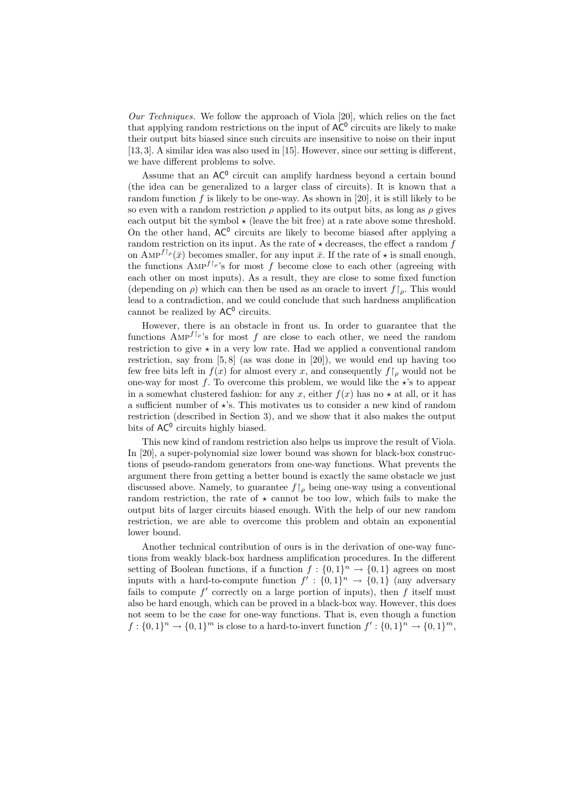Our Techniques. We follow the approach of Viola  $[20]$ , which relies on the fact that applying random restrictions on the input of  $AC^0$  circuits are likely to make their output bits biased since such circuits are insensitive to noise on their input [13, 3]. A similar idea was also used in [15]. However, since our setting is different, we have different problems to solve.

Assume that an  $AC^0$  circuit can amplify hardness beyond a certain bound (the idea can be generalized to a larger class of circuits). It is known that a random function  $f$  is likely to be one-way. As shown in [20], it is still likely to be so even with a random restriction  $\rho$  applied to its output bits, as long as  $\rho$  gives each output bit the symbol  $\star$  (leave the bit free) at a rate above some threshold. On the other hand,  $AC^0$  circuits are likely to become biased after applying a random restriction on its input. As the rate of  $\star$  decreases, the effect a random f on AMP<sup>f</sup> $(\bar{x})$  becomes smaller, for any input  $\bar{x}$ . If the rate of  $\star$  is small enough, the functions  $\text{AMP}^{f|_{\rho}}$ 's for most f become close to each other (agreeing with each other on most inputs). As a result, they are close to some fixed function (depending on  $\rho$ ) which can then be used as an oracle to invert  $f\upharpoonright_{\rho}$ . This would lead to a contradiction, and we could conclude that such hardness amplification cannot be realized by  $AC^0$  circuits.

However, there is an obstacle in front us. In order to guarantee that the functions  $\mathbf{A}^{\mathbf{M} \mathbf{P}} f^{\dagger} \phi$ 's for most f are close to each other, we need the random restriction to give  $\star$  in a very low rate. Had we applied a conventional random restriction, say from  $[5, 8]$  (as was done in  $[20]$ ), we would end up having too few free bits left in  $f(x)$  for almost every x, and consequently  $f\upharpoonright_{\rho}$  would not be one-way for most f. To overcome this problem, we would like the  $\star$ 's to appear in a somewhat clustered fashion: for any x, either  $f(x)$  has no  $\star$  at all, or it has a sufficient number of  $\star$ 's. This motivates us to consider a new kind of random restriction (described in Section 3), and we show that it also makes the output bits of  $AC^0$  circuits highly biased.

This new kind of random restriction also helps us improve the result of Viola. In [20], a super-polynomial size lower bound was shown for black-box constructions of pseudo-random generators from one-way functions. What prevents the argument there from getting a better bound is exactly the same obstacle we just discussed above. Namely, to guarantee  $f\upharpoonright_{\rho}$  being one-way using a conventional random restriction, the rate of  $\star$  cannot be too low, which fails to make the output bits of larger circuits biased enough. With the help of our new random restriction, we are able to overcome this problem and obtain an exponential lower bound.

Another technical contribution of ours is in the derivation of one-way functions from weakly black-box hardness amplification procedures. In the different setting of Boolean functions, if a function  $f: \{0,1\}^n \to \{0,1\}$  agrees on most inputs with a hard-to-compute function  $f' : \{0,1\}^n \to \{0,1\}$  (any adversary fails to compute  $f'$  correctly on a large portion of inputs), then  $f$  itself must also be hard enough, which can be proved in a black-box way. However, this does not seem to be the case for one-way functions. That is, even though a function  $f: \{0,1\}^n \to \{0,1\}^m$  is close to a hard-to-invert function  $f': \{0,1\}^n \to \{0,1\}^m$ ,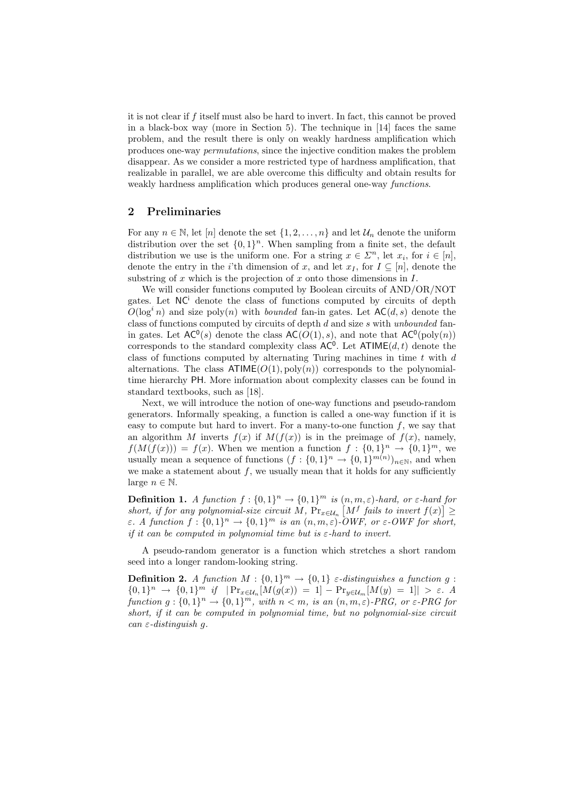it is not clear if f itself must also be hard to invert. In fact, this cannot be proved in a black-box way (more in Section 5). The technique in [14] faces the same problem, and the result there is only on weakly hardness amplification which produces one-way permutations, since the injective condition makes the problem disappear. As we consider a more restricted type of hardness amplification, that realizable in parallel, we are able overcome this difficulty and obtain results for weakly hardness amplification which produces general one-way functions.

#### 2 Preliminaries

For any  $n \in \mathbb{N}$ , let  $[n]$  denote the set  $\{1, 2, ..., n\}$  and let  $\mathcal{U}_n$  denote the uniform distribution over the set  $\{0,1\}^n$ . When sampling from a finite set, the default distribution we use is the uniform one. For a string  $x \in \mathbb{Z}^n$ , let  $x_i$ , for  $i \in [n]$ , denote the entry in the i'th dimension of x, and let  $x_I$ , for  $I \subseteq [n]$ , denote the substring of x which is the projection of x onto those dimensions in  $I$ .

We will consider functions computed by Boolean circuits of AND/OR/NOT gates. Let NC<sup>i</sup> denote the class of functions computed by circuits of depth  $O(\log^i n)$  and size poly(n) with *bounded* fan-in gates. Let  $AC(d, s)$  denote the class of functions computed by circuits of depth  $d$  and size  $s$  with unbounded fanin gates. Let  $AC^0(s)$  denote the class  $AC(O(1), s)$ , and note that  $AC^0(\text{poly}(n))$ corresponds to the standard complexity class  $AC^0$ . Let  $ATIME(d, t)$  denote the class of functions computed by alternating Turing machines in time  $t$  with  $d$ alternations. The class  $ATIME(O(1), poly(n))$  corresponds to the polynomialtime hierarchy PH. More information about complexity classes can be found in standard textbooks, such as [18].

Next, we will introduce the notion of one-way functions and pseudo-random generators. Informally speaking, a function is called a one-way function if it is easy to compute but hard to invert. For a many-to-one function  $f$ , we say that an algorithm M inverts  $f(x)$  if  $M(f(x))$  is in the preimage of  $f(x)$ , namely,  $f(M(f(x))) = f(x)$ . When we mention a function  $f: \{0,1\}^n \to \{0,1\}^m$ , we usually mean a sequence of functions  $(f: \{0,1\}^n \to \{0,1\}^{m(n)})_{n \in \mathbb{N}}$ , and when we make a statement about  $f$ , we usually mean that it holds for any sufficiently large  $n \in \mathbb{N}$ .

**Definition 1.** A function  $f: \{0,1\}^n \to \{0,1\}^m$  is  $(n, m, \varepsilon)$ -hard, or  $\varepsilon$ -hard for short, if for any polynomial-size circuit M,  $Pr_{x \in \mathcal{U}_n} [M^f \text{ fails to invert } f(x)] \geq$ ε. A function  $f: \{0,1\}^n \to \{0,1\}^m$  is an  $(n, m, \varepsilon)$ -OWF, or  $\varepsilon$ -OWF for short, if it can be computed in polynomial time but is  $\varepsilon$ -hard to invert.

A pseudo-random generator is a function which stretches a short random seed into a longer random-looking string.

**Definition 2.** A function  $M : \{0,1\}^m \rightarrow \{0,1\}$  *ε*-distinguishes a function g:  ${0,1}^n \to {0,1}^m$  if  $|\Pr_{x \in \mathcal{U}_n}[M(g(x)) = 1] - \Pr_{y \in \mathcal{U}_m}[M(y) = 1]| > \varepsilon$ . function  $g: \{0,1\}^n \to \{0,1\}^m$ , with  $n < m$ , is an  $(n,m,\varepsilon)$ -PRG, or  $\varepsilon$ -PRG for short, if it can be computed in polynomial time, but no polynomial-size circuit can  $\varepsilon$ -distinguish g.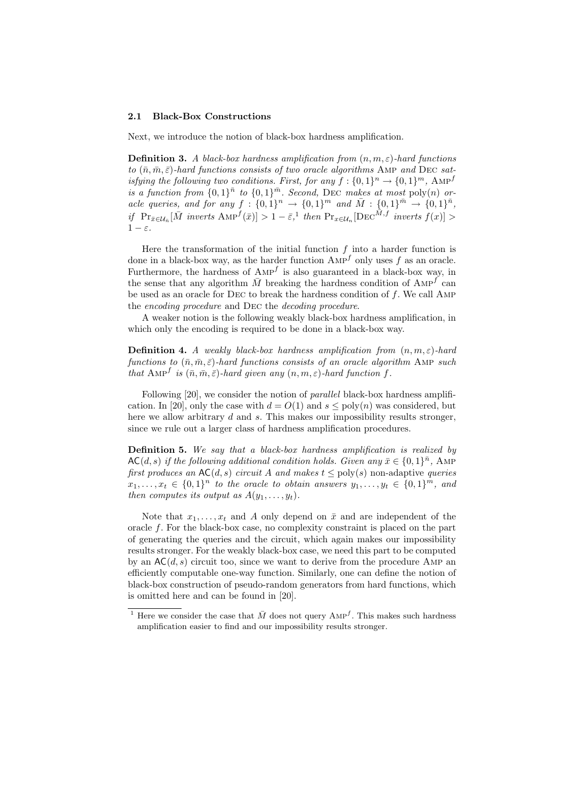#### 2.1 Black-Box Constructions

Next, we introduce the notion of black-box hardness amplification.

**Definition 3.** A black-box hardness amplification from  $(n, m, \varepsilon)$ -hard functions to  $(\bar{n}, \bar{m}, \bar{\varepsilon})$ -hard functions consists of two oracle algorithms AMP and DEC satisfying the following two conditions. First, for any  $f: \{0,1\}^n \to \{0,1\}^m$ , AMP<sup>f</sup> is a function from  $\{0,1\}^{\bar{n}}$  to  $\{0,1\}^{\bar{m}}$ . Second, DEC makes at most poly $(n)$  oracle queries, and for any  $f: \{0,1\}^n \to \{0,1\}^m$  and  $\overline{M} : \{0,1\}^{\overline{n}} \to \{0,1\}^{\overline{n}}$ , if  $Pr_{\bar{x} \in \mathcal{U}_n}[\bar{M} \text{ inverts } \text{AMP}^f(\bar{x})] > 1 - \bar{\varepsilon},^1 \text{ then } Pr_{x \in \mathcal{U}_n}[\text{DEC}^{\bar{M},f} \text{ inverts } f(x)] >$  $1 - \varepsilon$ .

Here the transformation of the initial function  $f$  into a harder function is done in a black-box way, as the harder function  $\text{AMP}^f$  only uses f as an oracle. Furthermore, the hardness of  $AMP<sup>f</sup>$  is also guaranteed in a black-box way, in the sense that any algorithm  $\overline{M}$  breaking the hardness condition of AMP<sup>f</sup> can be used as an oracle for Dec to break the hardness condition of f. We call Amp the encoding procedure and Dec the decoding procedure.

A weaker notion is the following weakly black-box hardness amplification, in which only the encoding is required to be done in a black-box way.

**Definition 4.** A weakly black-box hardness amplification from  $(n, m, \varepsilon)$ -hard functions to  $(\bar{n}, \bar{m}, \bar{\varepsilon})$ -hard functions consists of an oracle algorithm AMP such that AMP<sup>f</sup> is  $(\bar{n}, \bar{m}, \bar{\varepsilon})$ -hard given any  $(n, m, \varepsilon)$ -hard function f.

Following [20], we consider the notion of parallel black-box hardness amplification. In [20], only the case with  $d = O(1)$  and  $s \leq poly(n)$  was considered, but here we allow arbitrary d and s. This makes our impossibility results stronger, since we rule out a larger class of hardness amplification procedures.

**Definition 5.** We say that a black-box hardness amplification is realized by  $\mathsf{AC}(d, s)$  if the following additional condition holds. Given any  $\bar{x} \in \{0, 1\}^{\bar{n}}$ , AMP first produces an  $\mathsf{AC}(d, s)$  circuit A and makes  $t \leq \text{poly}(s)$  non-adaptive queries  $x_1, \ldots, x_t \in \{0,1\}^n$  to the oracle to obtain answers  $y_1, \ldots, y_t \in \{0,1\}^m$ , and then computes its output as  $A(y_1, \ldots, y_t)$ .

Note that  $x_1, \ldots, x_t$  and A only depend on  $\bar{x}$  and are independent of the oracle f. For the black-box case, no complexity constraint is placed on the part of generating the queries and the circuit, which again makes our impossibility results stronger. For the weakly black-box case, we need this part to be computed by an  $\mathsf{AC}(d, s)$  circuit too, since we want to derive from the procedure AMP and efficiently computable one-way function. Similarly, one can define the notion of black-box construction of pseudo-random generators from hard functions, which is omitted here and can be found in [20].

<sup>&</sup>lt;sup>1</sup> Here we consider the case that  $\bar{M}$  does not query AMP<sup>f</sup>. This makes such hardness amplification easier to find and our impossibility results stronger.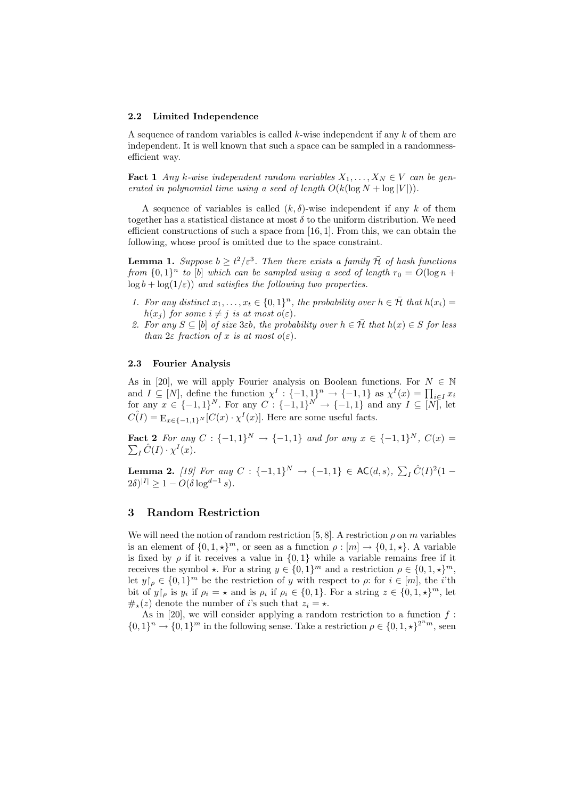#### 2.2 Limited Independence

A sequence of random variables is called  $k$ -wise independent if any  $k$  of them are independent. It is well known that such a space can be sampled in a randomnessefficient way.

**Fact 1** Any k-wise independent random variables  $X_1, \ldots, X_N \in V$  can be generated in polynomial time using a seed of length  $O(k(\log N + \log |V|)).$ 

A sequence of variables is called  $(k, \delta)$ -wise independent if any k of them together has a statistical distance at most  $\delta$  to the uniform distribution. We need efficient constructions of such a space from  $[16, 1]$ . From this, we can obtain the following, whose proof is omitted due to the space constraint.

**Lemma 1.** Suppose  $b \ge t^2/\varepsilon^3$ . Then there exists a family  $\bar{\mathcal{H}}$  of hash functions from  $\{0,1\}^n$  to  $[b]$  which can be sampled using a seed of length  $r_0 = O(\log n +$  $\log b + \log(1/\varepsilon)$  and satisfies the following two properties.

- 1. For any distinct  $x_1, \ldots, x_t \in \{0,1\}^n$ , the probability over  $h \in \overline{\mathcal{H}}$  that  $h(x_i) =$  $h(x_i)$  for some  $i \neq j$  is at most  $o(\varepsilon)$ .
- 2. For any  $S \subseteq [b]$  of size 3 $\varepsilon b$ , the probability over  $h \in \overline{\mathcal{H}}$  that  $h(x) \in S$  for less than  $2\varepsilon$  fraction of x is at most  $o(\varepsilon)$ .

#### 2.3 Fourier Analysis

As in [20], we will apply Fourier analysis on Boolean functions. For  $N \in \mathbb{N}$ and  $I \subseteq [N]$ , define the function  $\chi^I : \{-1,1\}^n \to \{-1,1\}$  as  $\chi^I(x) = \prod_{i \in I} x_i$ for any  $x \in \{-1,1\}^N$ . For any  $C : \{-1,1\}^N \to \{-1,1\}$  and any  $I \subseteq [N]$ , let  $C(I) = \mathop{\mathbb{E}}_{x \in \{-1,1\}^N} [C(x) \cdot \chi^I(x)]$ . Here are some useful facts.

**Fact 2** For any  $C: \{-1,1\}^N \to \{-1,1\}$  and for any  $x \in \{-1,1\}^N$ ,  $C(x) = \sum_l \hat{C}(I) \cdot \chi^I(x)$ .  $I \hat{C}(I) \cdot \chi^{I}(x)$ .

Lemma 2. [19] For any  $C: \{-1,1\}^N \to \{-1,1\} \in AC(d,s), \sum_{I} \hat{C}(I)^2(1-s)$  $(2\delta)^{|I|} \ge 1 - O(\delta \log^{d-1} s).$ 

# 3 Random Restriction

We will need the notion of random restriction [5, 8]. A restriction  $\rho$  on m variables is an element of  $\{0,1,\star\}^m$ , or seen as a function  $\rho : [m] \to \{0,1,\star\}$ . A variable is fixed by  $\rho$  if it receives a value in  $\{0,1\}$  while a variable remains free if it receives the symbol  $\star$ . For a string  $y \in \{0,1\}^m$  and a restriction  $\rho \in \{0,1,\star\}^m$ , let  $y|_{\rho} \in \{0,1\}^m$  be the restriction of y with respect to  $\rho$ : for  $i \in [m]$ , the *i*'th bit of  $y|_{\rho}$  is  $y_i$  if  $\rho_i = \star$  and is  $\rho_i$  if  $\rho_i \in \{0,1\}$ . For a string  $z \in \{0,1,\star\}^m$ , let  $\#_{\star}(z)$  denote the number of *i*'s such that  $z_i = \star$ .

As in [20], we will consider applying a random restriction to a function  $f$ :  $\{0,1\}^n \to \{0,1\}^m$  in the following sense. Take a restriction  $\rho \in \{0,1,\star\}^{2^n m}$ , seen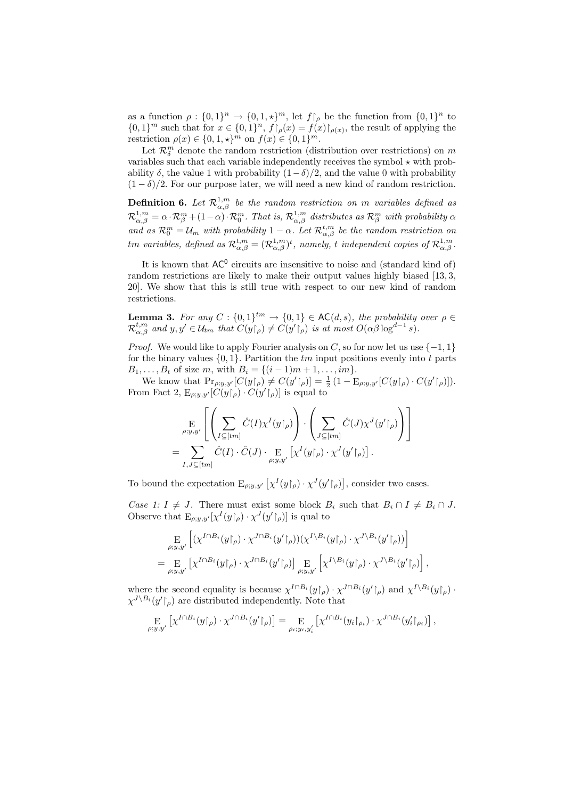as a function  $\rho: \{0,1\}^n \to \{0,1,\star\}^m$ , let  $f\upharpoonright_{\rho}$  be the function from  $\{0,1\}^n$  to  $\{0,1\}^m$  such that for  $x \in \{0,1\}^n$ ,  $f|_{\rho}(x) = f(x)|_{\rho(x)}$ , the result of applying the restriction  $\rho(x) \in \{0, 1, \star\}^m$  on  $f(x) \in \{0, 1\}^m$ .

Let  $\mathcal{R}_{\delta}^m$  denote the random restriction (distribution over restrictions) on  $m$ variables such that each variable independently receives the symbol  $\star$  with probability  $\delta$ , the value 1 with probability  $(1-\delta)/2$ , and the value 0 with probability  $(1 - \delta)/2$ . For our purpose later, we will need a new kind of random restriction.

**Definition 6.** Let  $\mathcal{R}_{\alpha,\beta}^{1,m}$  be the random restriction on m variables defined as  $\mathcal{R}_{\alpha,\beta}^{1,m}=\alpha\cdot\mathcal{R}_{\beta}^{m}+(1-\alpha)\cdot\mathcal{R}_{0}^{m}$ . That is,  $\mathcal{R}_{\alpha,\beta}^{1,m}$  distributes as  $\mathcal{R}_{\beta}^{m}$  with probability  $\alpha$ and as  $\mathcal{R}_0^m = \mathcal{U}_m$  with probability  $1 - \alpha$ . Let  $\mathcal{R}_{\alpha,\beta}^{t,m}$  be the random restriction on  $tm\,\,variables,\,\,defined\,\,as\,\, \mathcal{R}_{\alpha,\beta}^{t,m}=(\mathcal{R}_{\alpha,\beta}^{1,m})^t,\,\,namely,\,t\,\,independent\,\,copies\,\,of\,\mathcal{R}_{\alpha,\beta}^{1,m}.$ 

It is known that  $AC^0$  circuits are insensitive to noise and (standard kind of) random restrictions are likely to make their output values highly biased [13, 3, 20]. We show that this is still true with respect to our new kind of random restrictions.

**Lemma 3.** For any  $C: \{0,1\}^{tm} \to \{0,1\} \in AC(d,s)$ , the probability over  $\rho \in$  $\mathcal{R}^{t,m}_{\alpha,\beta}$  and  $y, y' \in \mathcal{U}_{tm}$  that  $C(y \restriction_{\rho}) \neq C(y' \restriction_{\rho})$  is at most  $O(\alpha \beta \log^{d-1} s)$ .

*Proof.* We would like to apply Fourier analysis on C, so for now let us use  $\{-1,1\}$ for the binary values  $\{0, 1\}$ . Partition the tm input positions evenly into t parts  $B_1, \ldots, B_t$  of size m, with  $B_i = \{(i-1)m + 1, \ldots, im\}.$ 

We know that  $\Pr_{\rho; y, y'}[C(y|_{\rho}) \neq C(y'|_{\rho})] = \frac{1}{2} (1 - \mathbb{E}_{\rho; y, y'}[C(y|_{\rho}) \cdot C(y'|_{\rho})]).$ From Fact 2,  $E_{\rho; y, y'}[C(y)\rho] \cdot C(y'\rho)]$  is equal to

$$
\underset{\rho; y, y'}{\mathbf{E}} \left[ \left( \sum_{I \subseteq [tm]} \hat{C}(I) \chi^{I}(y \restriction_{\rho}) \right) \cdot \left( \sum_{J \subseteq [tm]} \hat{C}(J) \chi^{J}(y' \restriction_{\rho}) \right) \right]
$$
\n
$$
= \sum_{I, J \subseteq [tm]} \hat{C}(I) \cdot \hat{C}(J) \cdot \underset{\rho; y, y'}{\mathbf{E}} \left[ \chi^{I}(y \restriction_{\rho}) \cdot \chi^{J}(y' \restriction_{\rho}) \right].
$$

To bound the expectation  $E_{\rho;y,y'}[\chi^I(y|_{\rho}) \cdot \chi^J(y'|\rho)]$ , consider two cases.

=

Case 1:  $I \neq J$ . There must exist some block  $B_i$  such that  $B_i \cap I \neq B_i \cap J$ . Observe that  $E_{\rho;y,y'}[\chi^I(y|_{\rho})\cdot\chi^J(y'|_{\rho})]$  is qual to

$$
\mathop{\mathbf{E}}_{\rho;y,y'} \left[ (\chi^{I \cap B_i}(y \restriction_{\rho}) \cdot \chi^{J \cap B_i}(y' \restriction_{\rho})) (\chi^{I \setminus B_i}(y \restriction_{\rho}) \cdot \chi^{J \setminus B_i}(y' \restriction_{\rho})) \right] \n= \mathop{\mathbf{E}}_{\rho;y,y'} \left[ \chi^{I \cap B_i}(y \restriction_{\rho}) \cdot \chi^{J \cap B_i}(y' \restriction_{\rho}) \right] \mathop{\mathbf{E}}_{\rho;y,y'} \left[ \chi^{I \setminus B_i}(y \restriction_{\rho}) \cdot \chi^{J \setminus B_i}(y' \restriction_{\rho}) \right],
$$

where the second equality is because  $\chi^{I \cap B_i}(y \restriction_{\rho}) \cdot \chi^{J \cap B_i}(y' \restriction_{\rho})$  and  $\chi^{I \setminus B_i}(y \restriction_{\rho})$ .  $\chi^{J \setminus B_i}(y'|_{\rho})$  are distributed independently. Note that

$$
\mathop{\mathbf{E}}\limits_{\rho; y, y'} \left[ \chi^{I \cap B_i} (y \restriction_{\rho}) \cdot \chi^{J \cap B_i} (y' \restriction_{\rho}) \right] = \mathop{\mathbf{E}}\limits_{\rho_i; y_i, y_i'} \left[ \chi^{I \cap B_i} (y_i \restriction_{\rho_i}) \cdot \chi^{J \cap B_i} (y_i' \restriction_{\rho_i}) \right],
$$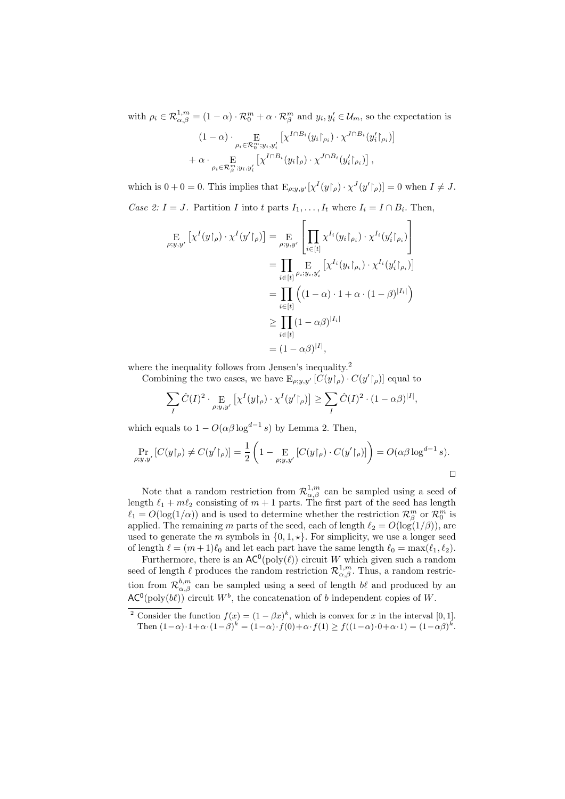with  $\rho_i \in \mathcal{R}_{\alpha,\beta}^{1,m} = (1-\alpha) \cdot \mathcal{R}_0^m + \alpha \cdot \mathcal{R}_{\beta}^m$  and  $y_i, y_i' \in \mathcal{U}_m$ , so the expectation is

$$
(1 - \alpha) \cdot \underset{\rho_i \in \mathcal{R}_{\beta}^m; y_i, y_i'}{\operatorname{E}} \left[ \chi^{I \cap B_i}(y_i |_{\rho_i}) \cdot \chi^{J \cap B_i}(y_i' |_{\rho_i}) \right] + \alpha \cdot \underset{\rho_i \in \mathcal{R}_{\beta}^m; y_i, y_i'}{\operatorname{E}} \left[ \chi^{I \cap B_i}(y_i |_{\rho}) \cdot \chi^{J \cap B_i}(y_i' |_{\rho_i}) \right],
$$

which is  $0 + 0 = 0$ . This implies that  $E_{\rho; y, y'}[\chi^I(y|_{\rho}) \cdot \chi^J(y'|_{\rho})] = 0$  when  $I \neq J$ .

Case 2:  $I = J$ . Partition I into t parts  $I_1, \ldots, I_t$  where  $I_i = I \cap B_i$ . Then,

$$
\begin{split} \mathop{\mathbf{E}}_{\rho;y,y'} \left[ \chi^I(y{\upharpoonright}_{\rho}) \cdot \chi^I(y'{\upharpoonright}_{\rho}) \right] &= \mathop{\mathbf{E}}_{\rho;y,y'} \left[ \prod_{i \in [t]} \chi^{I_i}(y_i{\upharpoonright}_{\rho_i}) \cdot \chi^{I_i}(y'_i{\upharpoonright}_{\rho_i}) \right] \\ &= \prod_{i \in [t]} \mathop{\mathbf{E}}_{\rho_i;y_i,y'_i} \left[ \chi^{I_i}(y_i{\upharpoonright}_{\rho_i}) \cdot \chi^{I_i}(y'_i{\upharpoonright}_{\rho_i}) \right] \\ &= \prod_{i \in [t]} \left( (1-\alpha) \cdot 1 + \alpha \cdot (1-\beta)^{|I_i|} \right) \\ &\geq \prod_{i \in [t]} (1-\alpha\beta)^{|I_i|} \\ &= (1-\alpha\beta)^{|I|}, \end{split}
$$

where the inequality follows from Jensen's inequality.<sup>2</sup>

Combining the two cases, we have  $E_{\rho; y, y'} [C(y|_{\rho}) \cdot C(y' |_{\rho})]$  equal to

$$
\sum_{I} \hat{C}(I)^2 \cdot \underset{\rho; y, y'}{\mathbf{E}} \left[ \chi^I(y\restriction_{\rho}) \cdot \chi^I(y'\restriction_{\rho}) \right] \ge \sum_{I} \hat{C}(I)^2 \cdot (1 - \alpha \beta)^{|I|},
$$

which equals to  $1 - O(\alpha \beta \log^{d-1} s)$  by Lemma 2. Then,

$$
\Pr_{\rho; y, y'} \left[ C(y \restriction_{\rho}) \neq C(y' \restriction_{\rho}) \right] = \frac{1}{2} \left( 1 - \mathop{\mathbf{E}}_{\rho; y, y'} \left[ C(y \restriction_{\rho}) \cdot C(y' \restriction_{\rho}) \right] \right) = O(\alpha \beta \log^{d-1} s).
$$

Note that a random restriction from  $\mathcal{R}^{1,m}_{\alpha,\beta}$  can be sampled using a seed of length  $\ell_1 + m\ell_2$  consisting of  $m + 1$  parts. The first part of the seed has length  $\ell_1 = O(\log(1/\alpha))$  and is used to determine whether the restriction  $\mathcal{R}_{\beta}^m$  or  $\mathcal{R}_0^m$  is applied. The remaining m parts of the seed, each of length  $\ell_2 = O(\log(1/\beta))$ , are used to generate the m symbols in  $\{0, 1, \star\}$ . For simplicity, we use a longer seed of length  $\ell = (m + 1)\ell_0$  and let each part have the same length  $\ell_0 = \max(\ell_1, \ell_2)$ .

Furthermore, there is an  $AC^0(\text{poly}(\ell))$  circuit W which given such a random seed of length  $\ell$  produces the random restriction  $\mathcal{R}_{\alpha,\beta}^{1,m}$ . Thus, a random restriction from  $\mathcal{R}_{\alpha,\beta}^{b,m}$  can be sampled using a seed of length  $b\ell$  and produced by an  $AC^0(\text{poly}(b\ell))$  circuit  $W^b$ , the concatenation of b independent copies of W.

<sup>&</sup>lt;sup>2</sup> Consider the function  $f(x) = (1 - \beta x)^k$ , which is convex for x in the interval [0, 1]. Then  $(1-\alpha)\cdot 1+\alpha\cdot (1-\beta)^k = (1-\alpha)\cdot f(0)+\alpha\cdot f(1) \geq f((1-\alpha)\cdot 0+\alpha\cdot 1) = (1-\alpha)\beta^k$ .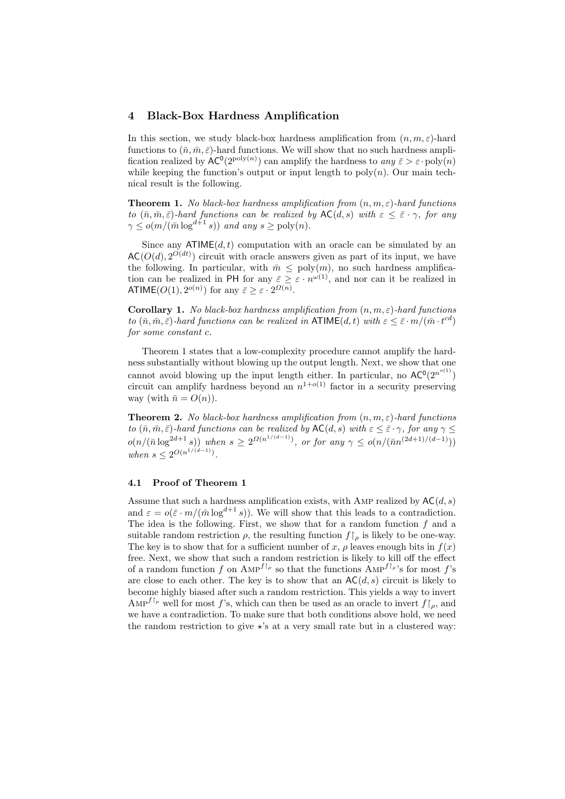## 4 Black-Box Hardness Amplification

In this section, we study black-box hardness amplification from  $(n, m, \varepsilon)$ -hard functions to  $(\bar{n}, \bar{m}, \bar{\varepsilon})$ -hard functions. We will show that no such hardness amplification realized by  $AC^0(2^{\text{poly}(n)})$  can amplify the hardness to  $any \bar{\varepsilon} > \varepsilon \cdot \text{poly}(n)$ while keeping the function's output or input length to  $poly(n)$ . Our main technical result is the following.

**Theorem 1.** No black-box hardness amplification from  $(n, m, \varepsilon)$ -hard functions to  $(\bar{n}, \bar{m}, \bar{\varepsilon})$ -hard functions can be realized by  $\mathsf{AC}(d, s)$  with  $\varepsilon \leq \bar{\varepsilon} \cdot \gamma$ , for any  $\gamma \leq o(m/(\bar{m} \log^{d+1} s))$  and any  $s \geq \text{poly}(n)$ .

Since any  $ATIME(d, t)$  computation with an oracle can be simulated by an  $AC(O(d), 2^{O(dt)})$  circuit with oracle answers given as part of its input, we have the following. In particular, with  $\bar{m} \leq \text{poly}(m)$ , no such hardness amplification can be realized in PH for any  $\bar{\varepsilon} \geq \varepsilon \cdot n^{\omega(1)}$ , and nor can it be realized in ATIME $(O(1), 2^{o(n)})$  for any  $\bar{\varepsilon} \geq \varepsilon \cdot 2^{\Omega(n)}$ .

**Corollary 1.** No black-box hardness amplification from  $(n, m, \varepsilon)$ -hard functions to  $(\bar{n}, \bar{m}, \bar{\varepsilon})$ -hard functions can be realized in  $\text{ATIME}(d, t)$  with  $\varepsilon \leq \bar{\varepsilon} \cdot m/(\bar{m} \cdot t^{cd})$ for some constant c.

Theorem 1 states that a low-complexity procedure cannot amplify the hardness substantially without blowing up the output length. Next, we show that one cannot avoid blowing up the input length either. In particular, no  $AC^0(2^{n^{o(1)}})$ circuit can amplify hardness beyond an  $n^{1+o(1)}$  factor in a security preserving way (with  $\bar{n} = O(n)$ ).

**Theorem 2.** No black-box hardness amplification from  $(n, m, \varepsilon)$ -hard functions to  $(\bar{n}, \bar{m}, \bar{\varepsilon})$ -hard functions can be realized by  $\mathsf{AC}(d, s)$  with  $\varepsilon \leq \bar{\varepsilon} \cdot \gamma$ , for any  $\gamma \leq$  $o(n/(\bar{n} \log^{2d+1} s))$  when  $s \geq 2^{\Omega(n^{1/(d-1)})}$ , or for any  $\gamma \leq o(n/(\bar{n}n^{(2d+1)/(d-1)}))$ when  $s \leq 2^{O(n^{1/(d-1)})}$ .

## 4.1 Proof of Theorem 1

Assume that such a hardness amplification exists, with AMP realized by  $AC(d, s)$ and  $\varepsilon = o(\bar{\varepsilon} \cdot m/(\bar{m} \log^{d+1} s))$ . We will show that this leads to a contradiction. The idea is the following. First, we show that for a random function  $f$  and a suitable random restriction  $\rho$ , the resulting function  $f\upharpoonright_{\rho}$  is likely to be one-way. The key is to show that for a sufficient number of x,  $\rho$  leaves enough bits in  $f(x)$ free. Next, we show that such a random restriction is likely to kill off the effect of a random function f on  $\text{AMP}^{\hat{f}|_{\rho}}$  so that the functions  $\text{AMP}^{\hat{f}|_{\rho}}$ 's for most f's are close to each other. The key is to show that an  $AC(d, s)$  circuit is likely to become highly biased after such a random restriction. This yields a way to invert  $\text{AMP}^{\{f\}}$  well for most f's, which can then be used as an oracle to invert  $f\upharpoonright_{\alpha}$ , and we have a contradiction. To make sure that both conditions above hold, we need the random restriction to give  $\star$ 's at a very small rate but in a clustered way: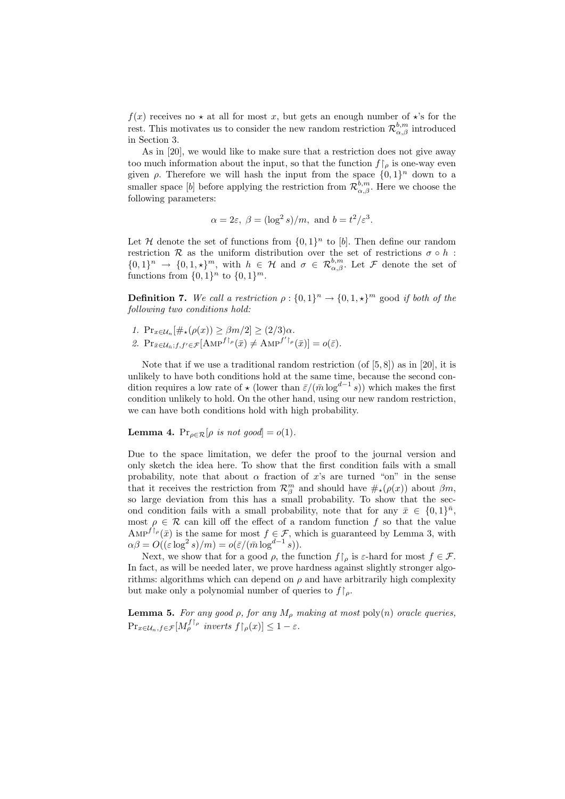$f(x)$  receives no  $\star$  at all for most x, but gets an enough number of  $\star$ 's for the rest. This motivates us to consider the new random restriction  $\mathcal{R}^{b,m}_{\alpha,\beta}$  introduced in Section 3.

As in [20], we would like to make sure that a restriction does not give away too much information about the input, so that the function  $f\upharpoonright_o$  is one-way even given  $\rho$ . Therefore we will hash the input from the space  $\{0,1\}^n$  down to a smaller space [b] before applying the restriction from  $\mathcal{R}^{b,m}_{\alpha,\beta}$ . Here we choose the following parameters:

$$
\alpha = 2\varepsilon
$$
,  $\beta = (\log^2 s)/m$ , and  $b = t^2/\varepsilon^3$ .

Let H denote the set of functions from  $\{0,1\}^n$  to  $[b]$ . Then define our random restriction  $\mathcal R$  as the uniform distribution over the set of restrictions  $\sigma \circ h$ :  $\{0,1\}^n \to \{0,1,\star\}^m$ , with  $h \in \mathcal{H}$  and  $\sigma \in \mathcal{R}_{\alpha,\beta}^{b,m}$ . Let  $\mathcal F$  denote the set of functions from  $\{0,1\}^n$  to  $\{0,1\}^m$ .

**Definition 7.** We call a restriction  $\rho : \{0,1\}^n \to \{0,1,\star\}^m$  good if both of the following two conditions hold:

- 1.  $\Pr_{x \in \mathcal{U}_n} [\#_*(\rho(x)) \geq \beta m/2] \geq (2/3)\alpha$ .
- 2.  $\Pr_{\bar{x} \in \mathcal{U}_{\bar{n}}; f, f' \in \mathcal{F}}[\text{AMP}^{f \upharpoonright \rho}(\bar{x}) \neq \text{AMP}^{f' \upharpoonright \rho}(\bar{x})] = o(\bar{\varepsilon}).$

Note that if we use a traditional random restriction (of  $[5, 8]$ ) as in  $[20]$ , it is unlikely to have both conditions hold at the same time, because the second condition requires a low rate of  $\star$  (lower than  $\bar{\varepsilon}/(\bar{m} \log^{d-1} s)$ ) which makes the first condition unlikely to hold. On the other hand, using our new random restriction, we can have both conditions hold with high probability.

## **Lemma 4.**  $Pr_{\rho \in \mathcal{R}}[\rho \text{ is not good}] = o(1).$

Due to the space limitation, we defer the proof to the journal version and only sketch the idea here. To show that the first condition fails with a small probability, note that about  $\alpha$  fraction of x's are turned "on" in the sense that it receives the restriction from  $\mathcal{R}_{\beta}^{m}$  and should have  $\#_{\star}(\rho(x))$  about  $\beta m$ , so large deviation from this has a small probability. To show that the second condition fails with a small probability, note that for any  $\bar{x} \in \{0,1\}^{\bar{n}}$ , most  $\rho \in \mathcal{R}$  can kill off the effect of a random function f so that the value  $\text{AMP}^{f|_{\rho}}(\bar{x})$  is the same for most  $f \in \mathcal{F}$ , which is guaranteed by Lemma 3, with  $\alpha\beta = O((\varepsilon \log^2 s)/m) = o(\bar{\varepsilon}/(\bar{m} \log^{d-1} s)).$ 

Next, we show that for a good  $\rho$ , the function  $f\upharpoonright_{\rho}$  is  $\varepsilon$ -hard for most  $f \in \mathcal{F}$ . In fact, as will be needed later, we prove hardness against slightly stronger algorithms: algorithms which can depend on  $\rho$  and have arbitrarily high complexity but make only a polynomial number of queries to  $f|_{\rho}$ .

**Lemma 5.** For any good  $\rho$ , for any  $M_{\rho}$  making at most poly $(n)$  oracle queries,  $\Pr_{x \in \mathcal{U}_n, f \in \mathcal{F}}[M_{\rho}^{f \restriction_{\rho}} \text{ inverts } f \restriction_{\rho}(x)] \leq 1 - \varepsilon.$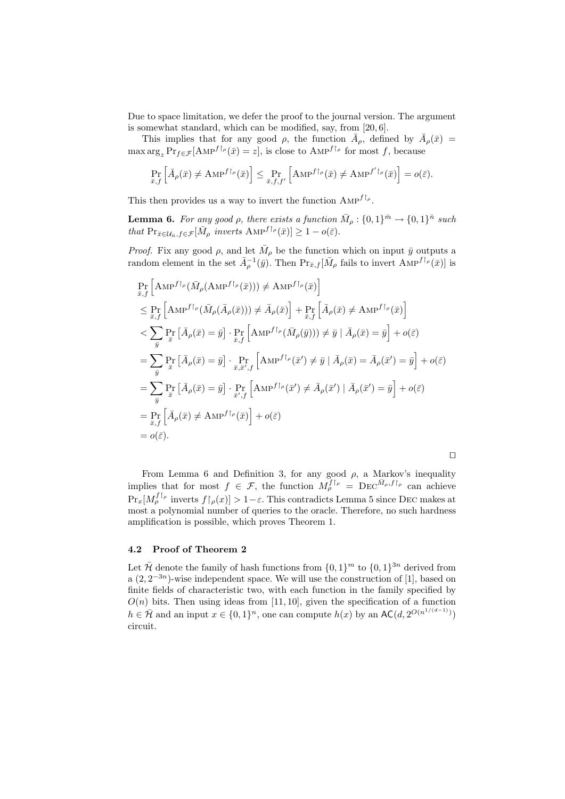Due to space limitation, we defer the proof to the journal version. The argument is somewhat standard, which can be modified, say, from [20, 6].

This implies that for any good  $\rho$ , the function  $\bar{A}_{\rho}$ , defined by  $\bar{A}_{\rho}(\bar{x}) =$  $\max \arg_z \Pr_{f \in \mathcal{F}}[\text{AMP}^{f\upharpoonright\rho}(\bar{x}) = z]$ , is close to  $\text{AMP}^{f\upharpoonright\rho}$  for most f, because

$$
\Pr_{\bar{x},f} \left[ \bar{A}_{\rho}(\bar{x}) \neq \mathrm{AMP}^{f\restriction_{\rho}}(\bar{x}) \right] \leq \Pr_{\bar{x},f,f'} \left[ \mathrm{AMP}^{f\restriction_{\rho}}(\bar{x}) \neq \mathrm{AMP}^{f'\restriction_{\rho}}(\bar{x}) \right] = o(\bar{\varepsilon}).
$$

This then provides us a way to invert the function  $\text{AMP}^{f|_{\rho}}$ .

**Lemma 6.** For any good  $\rho$ , there exists a function  $\bar{M}_{\rho} : \{0,1\}^{\bar{m}} \to \{0,1\}^{\bar{n}}$  such that  $Pr_{\bar{x} \in \mathcal{U}_{\bar{n}}, f \in \mathcal{F}}[\bar{M}_{\rho} \text{ inverts } \text{AMP}^{f \upharpoonright \rho}(\bar{x})] \geq 1 - o(\bar{\varepsilon}).$ 

*Proof.* Fix any good  $\rho$ , and let  $\overline{M}_{\rho}$  be the function which on input  $\overline{y}$  outputs a random element in the set  $\bar{A}^{-1}_{\rho}(\bar{y})$ . Then  $Pr_{\bar{x},f}[\bar{M}_{\rho}$  fails to invert  $\text{AMP}^{\bar{f}\upharpoonright\rho}(\bar{x})]$  is

$$
\Pr_{\bar{x},f} \left[ \text{AMP}^{f|_{\rho}}(\bar{M}_{\rho}(\text{AMP}^{f|_{\rho}}(\bar{x}))) \neq \text{AMP}^{f|_{\rho}}(\bar{x}) \right]
$$
\n
$$
\leq \Pr_{\bar{x},f} \left[ \text{AMP}^{f|_{\rho}}(\bar{M}_{\rho}(\bar{A}_{\rho}(\bar{x}))) \neq \bar{A}_{\rho}(\bar{x}) \right] + \Pr_{\bar{x},f} \left[ \bar{A}_{\rho}(\bar{x}) \neq \text{AMP}^{f|_{\rho}}(\bar{x}) \right]
$$
\n
$$
< \sum_{\bar{y}} \Pr_{\bar{x}} \left[ \bar{A}_{\rho}(\bar{x}) = \bar{y} \right] \cdot \Pr_{\bar{x},f} \left[ \text{AMP}^{f|_{\rho}}(\bar{M}_{\rho}(\bar{y}))) \neq \bar{y} \mid \bar{A}_{\rho}(\bar{x}) = \bar{y} \right] + o(\bar{\varepsilon})
$$
\n
$$
= \sum_{\bar{y}} \Pr_{\bar{x}} \left[ \bar{A}_{\rho}(\bar{x}) = \bar{y} \right] \cdot \Pr_{\bar{x},\bar{x}',f} \left[ \text{AMP}^{f|_{\rho}}(\bar{x}') \neq \bar{y} \mid \bar{A}_{\rho}(\bar{x}) = \bar{A}_{\rho}(\bar{x}') = \bar{y} \right] + o(\bar{\varepsilon})
$$
\n
$$
= \sum_{\bar{y}} \Pr_{\bar{x}} \left[ \bar{A}_{\rho}(\bar{x}) = \bar{y} \right] \cdot \Pr_{\bar{x}',f} \left[ \text{AMP}^{f|_{\rho}}(\bar{x}') \neq \bar{A}_{\rho}(\bar{x}') \mid \bar{A}_{\rho}(\bar{x}') = \bar{y} \right] + o(\bar{\varepsilon})
$$
\n
$$
= \Pr_{\bar{x},f} \left[ \bar{A}_{\rho}(\bar{x}) \neq \text{AMP}^{f|_{\rho}}(\bar{x}) \right] + o(\bar{\varepsilon})
$$
\n
$$
= o(\bar{\varepsilon}).
$$

 $\Box$ 

From Lemma 6 and Definition 3, for any good  $\rho$ , a Markov's inequality implies that for most  $f \in \mathcal{F}$ , the function  $M_{\rho}^{f\restriction\rho} = \text{Dec}^{\bar{M}_{\rho},f\restriction\rho}$  can achieve  $Pr_x[M_{\rho}^{f\restriction_{\rho}}]$  inverts  $f\restriction_{\rho}(x)] > 1-\varepsilon$ . This contradicts Lemma 5 since DEC makes at most a polynomial number of queries to the oracle. Therefore, no such hardness amplification is possible, which proves Theorem 1.

## 4.2 Proof of Theorem 2

Let  $\bar{\mathcal{H}}$  denote the family of hash functions from  $\{0,1\}^m$  to  $\{0,1\}^{3n}$  derived from a  $(2, 2^{-3n})$ -wise independent space. We will use the construction of [1], based on finite fields of characteristic two, with each function in the family specified by  $O(n)$  bits. Then using ideas from [11, 10], given the specification of a function  $h \in \bar{\mathcal{H}}$  and an input  $x \in \{0,1\}^n$ , one can compute  $h(x)$  by an  $\mathsf{AC}(d, 2^{\mathcal{O}(n^{1/(d-1)})})$ circuit.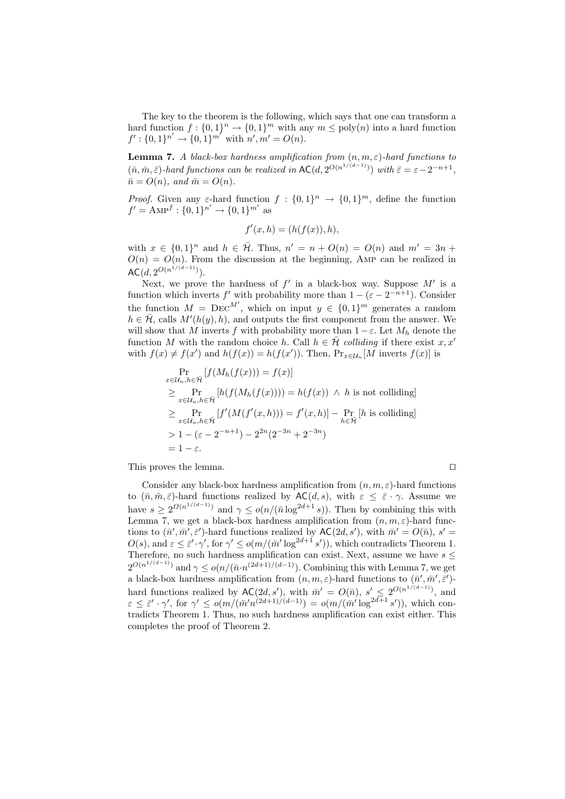The key to the theorem is the following, which says that one can transform a hard function  $f: \{0,1\}^n \to \{0,1\}^m$  with any  $m \leq \text{poly}(n)$  into a hard function  $f' : \{0,1\}^{n'} \to \{0,1\}^{m'}$  with  $n', m' = O(n)$ .

**Lemma 7.** A black-box hardness amplification from  $(n, m, \varepsilon)$ -hard functions to  $(\bar{n}, \bar{m}, \bar{\varepsilon})$ -hard functions can be realized in  $\mathsf{AC}(d, 2^{\mathcal{O}(n^{1/(d-1)})})$  with  $\bar{\varepsilon} = \varepsilon - 2^{-n+1}$ ,  $\bar{n} = O(n)$ , and  $\bar{m} = O(n)$ .

*Proof.* Given any  $\varepsilon$ -hard function  $f: \{0,1\}^n \to \{0,1\}^m$ , define the function  $f' = \text{AMP}^f : \{0, 1\}^{n'} \to \{0, 1\}^{m'}$  as

$$
f'(x,h) = (h(f(x)),h),
$$

with  $x \in \{0,1\}^n$  and  $h \in \overline{\mathcal{H}}$ . Thus,  $n' = n + O(n) = O(n)$  and  $m' = 3n +$  $O(n) = O(n)$ . From the discussion at the beginning, AMP can be realized in AC $(d, 2^{O(n^{1/(d-1)})})$ .

Next, we prove the hardness of  $f'$  in a black-box way. Suppose  $M'$  is a function which inverts f' with probability more than  $1 - (\varepsilon - 2^{-n+1})$ . Consider the function  $M = \text{Dec}^{M'}$ , which on input  $y \in \{0,1\}^m$  generates a random  $h \in \overline{\mathcal{H}}$ , calls  $M'(h(y), h)$ , and outputs the first component from the answer. We will show that M inverts f with probability more than  $1-\varepsilon$ . Let  $M_h$  denote the function M with the random choice h. Call  $h \in \bar{\mathcal{H}}$  colliding if there exist  $x, x'$ with  $f(x) \neq f(x')$  and  $h(f(x)) = h(f(x'))$ . Then,  $Pr_{x \in \mathcal{U}_n}[M]$  inverts  $f(x)$  is

$$
\Pr_{x \in \mathcal{U}_n, h \in \overline{\mathcal{H}}} [f(M_h(f(x))) = f(x)]
$$
\n
$$
\geq \Pr_{x \in \mathcal{U}_n, h \in \overline{\mathcal{H}}} [h(f(M_h(f(x)))) = h(f(x)) \wedge h \text{ is not colliding}]
$$
\n
$$
\geq \Pr_{x \in \mathcal{U}_n, h \in \overline{\mathcal{H}}} [f'(M(f'(x, h))) = f'(x, h)] - \Pr_{h \in \overline{\mathcal{H}}} [h \text{ is colliding}]
$$
\n
$$
> 1 - (\varepsilon - 2^{-n+1}) - 2^{2n} (2^{-3n} + 2^{-3n})
$$
\n
$$
= 1 - \varepsilon.
$$

This proves the lemma.  $\Box$ 

Consider any black-box hardness amplification from  $(n, m, \varepsilon)$ -hard functions to  $(\bar{n}, \bar{m}, \bar{\varepsilon})$ -hard functions realized by  $\mathsf{AC}(d, s)$ , with  $\varepsilon \leq \bar{\varepsilon} \cdot \gamma$ . Assume we have  $s \geq 2^{\Omega(n^{1/(d-1)})}$  and  $\gamma \leq o(n/(\bar{n} \log^{2d+1} s))$ . Then by combining this with Lemma 7, we get a black-box hardness amplification from  $(n, m, \varepsilon)$ -hard functions to  $(\bar{n}', \bar{m}', \bar{\varepsilon}')$ -hard functions realized by  $\mathsf{AC}(2d, s')$ , with  $\bar{m}' = O(\bar{n})$ ,  $s' =$  $O(s)$ , and  $\varepsilon \leq \bar{\varepsilon}' \cdot \gamma'$ , for  $\gamma' \leq o(m/(\bar{m}' \log^{2d+1} s'))$ , which contradicts Theorem 1. Therefore, no such hardness amplification can exist. Next, assume we have  $s \leq$  $2^{O(n^{1/(d-1)})}$  and  $\gamma \leq o(n/(\bar{n} \cdot n^{(2d+1)/(d-1)})$ . Combining this with Lemma 7, we get a black-box hardness amplification from  $(n, m, \varepsilon)$ -hard functions to  $(\bar{n}', \bar{m}', \bar{\varepsilon}')$ hard functions realized by  $\mathsf{AC}(2d, s')$ , with  $\bar{m}' = O(\bar{n})$ ,  $s' \leq 2^{O(n^{1/(d-1)})}$ , and  $\varepsilon \leq \bar{\varepsilon}' \cdot \gamma'$ , for  $\gamma' \leq o(m/(\bar{m}'n^{(2d+1)/(d-1)}) = o(m/(\bar{m}'\log^{2d+1} s'))$ , which contradicts Theorem 1. Thus, no such hardness amplification can exist either. This completes the proof of Theorem 2.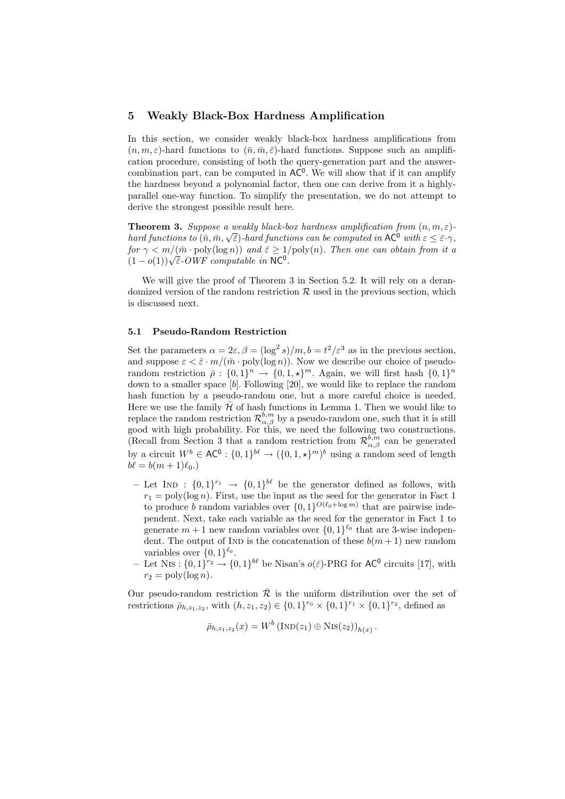## 5 Weakly Black-Box Hardness Amplification

In this section, we consider weakly black-box hardness amplifications from  $(n, m, \varepsilon)$ -hard functions to  $(\bar{n}, \bar{m}, \bar{\varepsilon})$ -hard functions. Suppose such an amplification procedure, consisting of both the query-generation part and the answercombination part, can be computed in  $AC<sup>0</sup>$ . We will show that if it can amplify the hardness beyond a polynomial factor, then one can derive from it a highlyparallel one-way function. To simplify the presentation, we do not attempt to derive the strongest possible result here.

**Theorem 3.** Suppose a weakly black-box hardness amplification from  $(n, m, \varepsilon)$ hard functions to  $(\bar{n}, \bar{m}, \sqrt{\bar{\varepsilon}})$ -hard functions can be computed in AC<sup>0</sup> with  $\varepsilon \leq \bar{\varepsilon} \cdot \gamma$ , for  $\gamma < m/(\bar{m} \cdot \text{poly}(\log n))$  and  $\bar{\varepsilon} \ge 1/\text{poly}(n)$ . Then one can obtain from it a for  $\gamma < m/(m \cdot \text{poly}(\log n))$  and  $\varepsilon \geq 1$ ,<br>  $(1 - o(1))\sqrt{\overline{\varepsilon}}$ -OWF computable in NC<sup>0</sup>.

We will give the proof of Theorem 3 in Section 5.2. It will rely on a derandomized version of the random restriction  $\mathcal R$  used in the previous section, which is discussed next.

#### 5.1 Pseudo-Random Restriction

Set the parameters  $\alpha = 2\varepsilon$ ,  $\beta = (\log^2 s)/m$ ,  $b = t^2/\varepsilon^3$  as in the previous section, and suppose  $\varepsilon < \bar{\varepsilon} \cdot m/(\bar{m} \cdot \text{poly}(\log n))$ . Now we describe our choice of pseudorandom restriction  $\bar{\rho}: \{0,1\}^n \to \{0,1,\star\}^m$ . Again, we will first hash  $\{0,1\}^n$ down to a smaller space [b]. Following [20], we would like to replace the random hash function by a pseudo-random one, but a more careful choice is needed. Here we use the family  $H$  of hash functions in Lemma 1. Then we would like to replace the random restriction  $\mathcal{R}^{b,m}_{\alpha,\beta}$  by a pseudo-random one, such that it is still good with high probability. For this, we need the following two constructions. (Recall from Section 3 that a random restriction from  $\mathcal{R}_{\alpha,\beta}^{b,m}$  can be generated by a circuit  $W^b \in AC^0: \{0,1\}^{b\ell} \to (\{0,1,\star\}^m)^b$  using a random seed of length  $b\ell = b(m + 1)\ell_0.$ 

- Let IND :  $\{0,1\}^{r_1} \rightarrow \{0,1\}^{b\ell}$  be the generator defined as follows, with  $r_1 = \text{poly}(\log n)$ . First, use the input as the seed for the generator in Fact 1 to produce b random variables over  $\{0,1\}^{O(\ell_0 + \log m)}$  that are pairwise independent. Next, take each variable as the seed for the generator in Fact 1 to generate  $m+1$  new random variables over  $\{0,1\}^{\ell_0}$  that are 3-wise independent. The output of IND is the concatenation of these  $b(m+1)$  new random variables over  $\{0,1\}^{\ell_0}$ .
- Let NIS:  $\{0,1\}^{r_2} \rightarrow \{0,1\}^{b\ell}$  be Nisan's  $o(\bar{\varepsilon})$ -PRG for AC<sup>0</sup> circuits [17], with  $r_2 = \text{poly}(\log n).$

Our pseudo-random restriction  $\overline{\mathcal{R}}$  is the uniform distribution over the set of restrictions  $\bar{\rho}_{h,z_1,z_2}$ , with  $(h, z_1, z_2) \in \{0, 1\}^{r_0} \times \{0, 1\}^{r_1} \times \{0, 1\}^{r_2}$ , defined as

 $\bar{\rho}_{h,z_1,z_2}(x) = W^b (\text{Ind}(z_1) \oplus \text{Nis}(z_2))_{h(x)}.$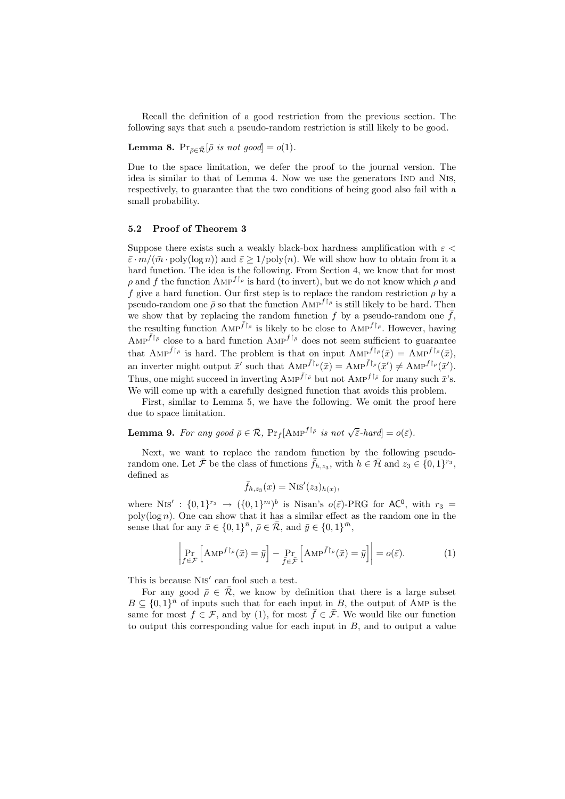Recall the definition of a good restriction from the previous section. The following says that such a pseudo-random restriction is still likely to be good.

**Lemma 8.**  $Pr_{\bar{\rho} \in \bar{\mathcal{R}}}[\bar{\rho} \text{ is not good}] = o(1).$ 

Due to the space limitation, we defer the proof to the journal version. The idea is similar to that of Lemma 4. Now we use the generators IND and NIS, respectively, to guarantee that the two conditions of being good also fail with a small probability.

#### 5.2 Proof of Theorem 3

Suppose there exists such a weakly black-box hardness amplification with  $\varepsilon$  $\bar{\varepsilon} \cdot m/(\bar{m} \cdot \text{poly}(\log n))$  and  $\bar{\varepsilon} \geq 1/\text{poly}(n)$ . We will show how to obtain from it a hard function. The idea is the following. From Section 4, we know that for most  $\rho$  and f the function  $\text{AMP}^{f\uparrow_{\rho}}$  is hard (to invert), but we do not know which  $\rho$  and f give a hard function. Our first step is to replace the random restriction  $\rho$  by a pseudo-random one  $\bar{\rho}$  so that the function  $\text{AMP}^{f\upharpoonright_{\bar{\rho}}}$  is still likely to be hard. Then we show that by replacing the random function f by a pseudo-random one  $\bar{f}$ , the resulting function  $\text{AMP}^{\bar{f}|_{\bar{\rho}}}$  is likely to be close to  $\text{AMP}^{\bar{f}|_{\bar{\rho}}}$ . However, having  $\text{AMP}^{\bar{f}\restriction_{\bar{\rho}}}$  close to a hard function  $\text{AMP}^{\bar{f}\restriction_{\bar{\rho}}}$  does not seem sufficient to guarantee that AMP<sup> $\bar{f}\rvert_{\bar{\rho}}$ </sup> is hard. The problem is that on input  $\text{AMP}^{\bar{f}\rvert_{\bar{\rho}}}(\bar{x}) = \text{AMP}^{\bar{f}\rvert_{\bar{\rho}}}(\bar{x}),$ an inverter might output  $\bar{x}'$  such that  $\text{AMP}^{\bar{f}\dagger_{\bar{\rho}}}(\bar{x}) = \text{AMP}^{\bar{f}\dagger_{\bar{\rho}}}(\bar{x}') \neq \text{AMP}^{\bar{f}\dagger_{\bar{\rho}}}(\bar{x}').$ Thus, one might succeed in inverting  $\text{AMP}^{\bar{f}\dagger_{\bar{\rho}}}$  but not  $\text{AMP}^{\bar{f}\dagger_{\bar{\rho}}}$  for many such  $\bar{x}$ 's. We will come up with a carefully designed function that avoids this problem.

First, similar to Lemma 5, we have the following. We omit the proof here due to space limitation.

**Lemma 9.** For any good  $\bar{\rho} \in \bar{\mathcal{R}}$ ,  $Pr_f[\text{AMP}^{f|_{\bar{\rho}}}$  is not  $\sqrt{\bar{\varepsilon}}$ -hard $] = o(\bar{\varepsilon})$ .

Next, we want to replace the random function by the following pseudorandom one. Let  $\bar{\mathcal{F}}$  be the class of functions  $\bar{f}_{h,z_3}$ , with  $h \in \bar{\mathcal{H}}$  and  $z_3 \in \{0,1\}^{r_3}$ , defined as

$$
\bar{f}_{h,z_3}(x) = \text{Nis}'(z_3)_{h(x)},
$$

where Nis':  $\{0, 1\}^{r_3} \rightarrow (\{0, 1\}^m)^b$  is Nisan's  $o(\bar{\varepsilon})$ -PRG for AC<sup>0</sup>, with  $r_3$  $poly(\log n)$ . One can show that it has a similar effect as the random one in the sense that for any  $\bar{x} \in \{0,1\}^{\bar{n}}, \bar{\rho} \in \bar{\mathcal{R}}$ , and  $\bar{y} \in \{0,1\}^{\bar{m}}$ ,

$$
\left| \Pr_{f \in \mathcal{F}} \left[ \text{A} \mathbf{M} \mathbf{P}^{f \dagger_{\bar{\rho}}}(\bar{x}) = \bar{y} \right] - \Pr_{\bar{f} \in \bar{\mathcal{F}}} \left[ \text{A} \mathbf{M} \mathbf{P}^{\bar{f} \dagger_{\bar{\rho}}}(\bar{x}) = \bar{y} \right] \right| = o(\bar{\varepsilon}). \tag{1}
$$

This is because  $NIS'$  can fool such a test.

For any good  $\bar{\rho} \in \bar{\mathcal{R}}$ , we know by definition that there is a large subset  $B \subseteq \{0,1\}^{\bar{n}}$  of inputs such that for each input in B, the output of AMP is the same for most  $f \in \mathcal{F}$ , and by (1), for most  $\bar{f} \in \bar{\mathcal{F}}$ . We would like our function to output this corresponding value for each input in  $B$ , and to output a value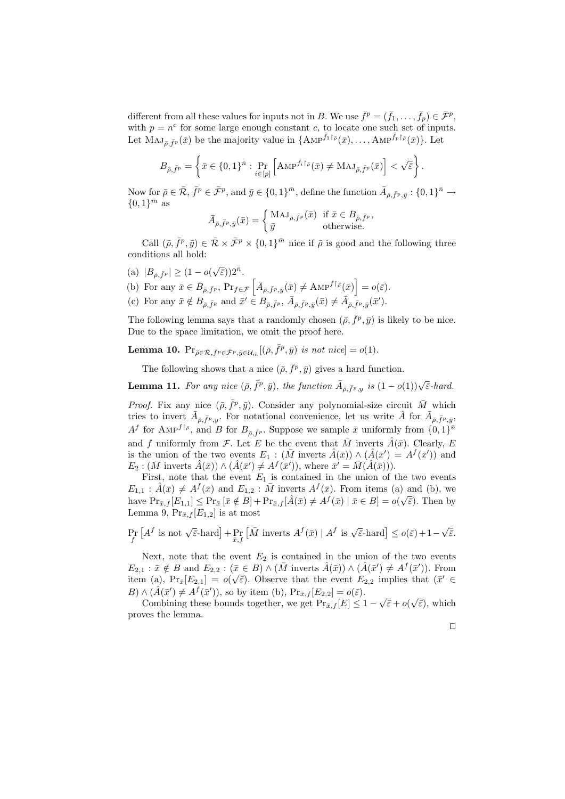different from all these values for inputs not in B. We use  $\bar{f}^p = (\bar{f}_1, \ldots, \bar{f}_p) \in \bar{\mathcal{F}}^p$ , with  $p = n^c$  for some large enough constant c, to locate one such set of inputs. Let  $\text{MAJ}_{\bar{\rho}, \bar{f}^p}(\bar{x})$  be the majority value in  $\{\text{AMP}^{\bar{f}_1 \restriction_{\bar{\rho}}}(\bar{x}), \ldots, \text{AMP}^{\bar{f}_p \restriction_{\bar{\rho}}}(\bar{x})\}$ . Let

$$
B_{\bar{\rho},\bar{f}^p} = \left\{\bar{x} \in \{0,1\}^{\bar{n}} : \Pr_{i \in [p]} \left[ \text{A}\text{MP}^{\bar{f}_i \restriction_{\bar{\rho}}}(\bar{x}) \neq \text{MAJ}_{\bar{\rho},\bar{f}^p}(\bar{x}) \right] < \sqrt{\bar{\varepsilon}}\right\}.
$$

Now for  $\bar{\rho} \in \bar{\mathcal{R}}$ ,  $\bar{f}^p \in \bar{\mathcal{F}}^p$ , and  $\bar{y} \in \{0,1\}^{\bar{m}}$ , define the function  $\bar{A}_{\bar{\rho}, \bar{f}^p, \bar{y}} : \{0,1\}^{\bar{n}} \to$  $\{0,1\}^{\bar{m}}$  as

$$
\bar{A}_{\bar{\rho},\bar{f}^p,\bar{y}}(\bar{x}) = \begin{cases} \text{MAJ}_{\bar{\rho},\bar{f}^p}(\bar{x}) & \text{if } \bar{x} \in B_{\bar{\rho},\bar{f}^p}, \\ \bar{y} & \text{otherwise.} \end{cases}
$$

Call  $(\bar{\rho}, \bar{f}^p, \bar{y}) \in \bar{\mathcal{R}} \times \bar{\mathcal{F}}^p \times \{0, 1\}^{\bar{m}}$  nice if  $\bar{\rho}$  is good and the following three conditions all hold:

(a)  $|B_{\bar{\rho}, \bar{f}^p}| \ge (1 - o(\sqrt{\bar{\varepsilon}}))2^{\bar{n}}.$ 

(b) For any  $\bar{x} \in B_{\bar{\rho}, \bar{f}^p}$ ,  $Pr_{f \in \mathcal{F}} \left[ \bar{A}_{\bar{\rho}, \bar{f}^p, \bar{y}}(\bar{x}) \neq \mathrm{AMP}^{f \dagger_{\bar{\rho}}}(\bar{x}) \right] = o(\bar{\varepsilon}).$ 

(c) For any  $\bar{x} \notin B_{\bar{\rho}, \bar{f}^p}$  and  $\bar{x}' \in B_{\bar{\rho}, \bar{f}^p}, \bar{A}_{\bar{\rho}, \bar{f}^p, \bar{y}}(\bar{x}) \neq \bar{A}_{\bar{\rho}, \bar{f}^p, \bar{y}}(\bar{x}').$ 

The following lemma says that a randomly chosen  $(\bar{\rho}, \bar{f}^p, \bar{y})$  is likely to be nice. Due to the space limitation, we omit the proof here.

**Lemma 10.**  $Pr_{\bar{\rho} \in \bar{\mathcal{R}}, \bar{f}^p \in \bar{\mathcal{F}}^p, \bar{y} \in \mathcal{U}_{\bar{m}}}[(\bar{\rho}, \bar{f}^p, \bar{y}) \text{ is not nice}] = o(1).$ 

The following shows that a nice  $(\bar{\rho}, \bar{f}^p, \bar{y})$  gives a hard function.

**Lemma 11.** For any nice  $(\bar{\rho}, \bar{f}^p, \bar{y})$ , the function  $\bar{A}_{\bar{\rho}, \bar{f}^p, y}$  is  $(1 - o(1))\sqrt{\bar{\varepsilon}}$ -hard.

*Proof.* Fix any nice  $(\bar{\rho}, \bar{f}^p, \bar{y})$ . Consider any polynomial-size circuit  $\bar{M}$  which tries to invert  $\bar{A}_{\bar{\rho},\bar{f}^p,y}$ . For notational convenience, let us write  $\hat{A}$  for  $\bar{A}_{\bar{\rho},\bar{f}^p,\bar{y}}$ ,  $A^f$  for AMP<sup>f</sup><sup>[ $\bar{\rho}$ </sup>, and  $B$  for  $B_{\bar{\rho},\bar{f}p}$ . Suppose we sample  $\bar{x}$  uniformly from  $\{0,1\}^{\bar{n}}$ and f uniformly from F. Let E be the event that  $\overline{M}$  inverts  $\hat{A}(\overline{x})$ . Clearly, E is the union of the two events  $E_1$ :  $(\bar{M}$  inverts  $\hat{A}(\bar{x})$   $\wedge$   $(\hat{A}(\bar{x}') = A^f(\bar{x}'))$  and  $E_2: (\bar{M} \text{ inverts } \hat{A}(\bar{x})) \wedge (\hat{A}(\bar{x}') \neq A^f(\bar{x}'))$ , where  $\bar{x}' = \bar{M}(\hat{A}(\bar{x})))$ .

First, note that the event  $E_1$  is contained in the union of the two events  $E_{1,1}$ :  $\hat{A}(\bar{x}) \neq A^f(\bar{x})$  and  $E_{1,2}$ :  $\bar{M}$  inverts  $A^f(\bar{x})$ . From items (a) and (b), we have  $\Pr_{\bar{x},f}[E_{1,1}] \leq \Pr_{\bar{x}}[\bar{x} \notin B] + \Pr_{\bar{x},f}[\hat{A}(\bar{x}) \neq A^f(\bar{x}) \mid \bar{x} \in B] = o(\sqrt{\bar{\varepsilon}}).$  Then by Lemma 9,  $Pr_{\bar{x},f}[E_{1,2}]$  is at most

$$
\Pr_f\left[A^f \text{ is not } \sqrt{\bar{\varepsilon}}\text{-hard}\right] + \Pr_{\bar{x},f}\left[\bar{M} \text{ inverts } A^f(\bar{x}) \mid A^f \text{ is } \sqrt{\bar{\varepsilon}}\text{-hard}\right] \le o(\bar{\varepsilon}) + 1 - \sqrt{\bar{\varepsilon}}.
$$

Next, note that the event  $E_2$  is contained in the union of the two events  $E_{2,1} : \bar{x} \notin B$  and  $E_{2,2} : (\bar{x} \in B) \wedge (\bar{M} \text{ inverts } \hat{A}(\bar{x})) \wedge (\hat{A}(\bar{x}') \neq A^f(\bar{x}'))$ . From item (a),  $Pr_{\bar{x}}[E_{2,1}] = o(\sqrt{\bar{\varepsilon}})$ . Observe that the event  $E_{2,2}$  implies that  $(\bar{x}^{\prime} \in$  $B) \wedge (\hat{A}(\bar{x}') \neq A^f(\bar{x}'))$ , so by item (b),  $Pr_{\bar{x},f}[E_{2,2}] = o(\bar{\varepsilon})$ .

 $\wedge (A(x) \neq A'(x))$ , so by item (b),  $\Pr_{\bar{x},f}[E_{2,2}] = o(\varepsilon)$ .<br>Combining these bounds together, we get  $\Pr_{\bar{x},f}[E] \leq 1 - \sqrt{\bar{\varepsilon}} + o(\sqrt{\bar{\varepsilon}})$ , which proves the lemma.

 $\Box$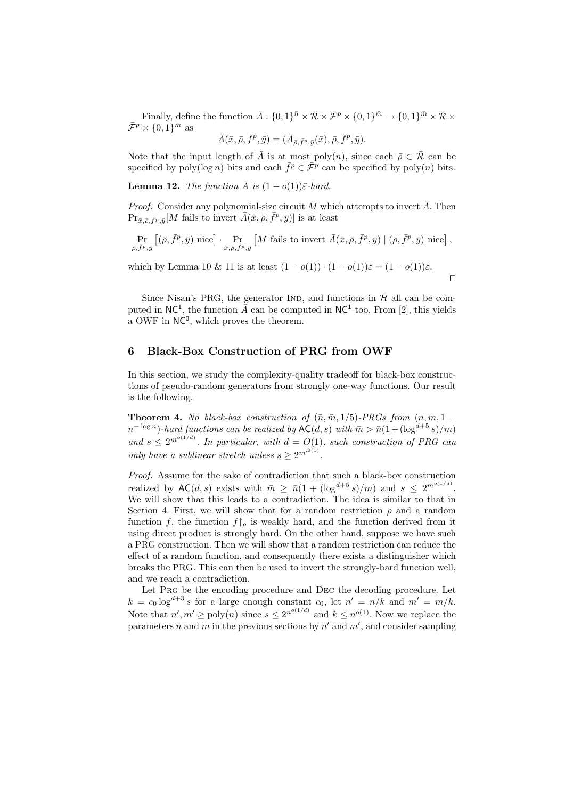Finally, define the function  $\overline{A}: \{0,1\}^{\overline{n}} \times \overline{\mathcal{R}} \times \overline{\mathcal{F}}^p \times \{0,1\}^{\overline{m}} \to \{0,1\}^{\overline{m}} \times \overline{\mathcal{R}} \times$  $\bar{\mathcal{F}}^p \times \{0, 1\}^{\bar{m}}$  as

$$
\bar{A}(\bar{x}, \bar{\rho}, \bar{f}^p, \bar{y}) = (\bar{A}_{\bar{\rho}, \bar{f}^p, \bar{y}}(\bar{x}), \bar{\rho}, \bar{f}^p, \bar{y}).
$$

Note that the input length of  $\bar{A}$  is at most poly $(n)$ , since each  $\bar{\rho} \in \bar{\mathcal{R}}$  can be specified by poly(log n) bits and each  $\bar{f}^p \in \bar{\mathcal{F}}^p$  can be specified by poly(n) bits.

**Lemma 12.** The function  $\overline{A}$  is  $(1 - o(1))\overline{\varepsilon}$ -hard.

*Proof.* Consider any polynomial-size circuit  $\overline{M}$  which attempts to invert  $\overline{A}$ . Then  $\Pr_{\bar{x},\bar{\rho},\bar{f}^p,\bar{y}}[M \text{ fails to invert } \bar{A}(\bar{x},\bar{\rho},\bar{f}^p,\bar{y})]$  is at least

$$
\Pr_{\bar{\rho}, \bar{f}^p, \bar{y}} \left[ (\bar{\rho}, \bar{f}^p, \bar{y}) \text{ nice} \right] \cdot \Pr_{\bar{x}, \bar{\rho}, \bar{f}^p, \bar{y}} \left[ M \text{ fails to invert } \bar{A}(\bar{x}, \bar{\rho}, \bar{f}^p, \bar{y}) \mid (\bar{\rho}, \bar{f}^p, \bar{y}) \text{ nice} \right],
$$

 $\Box$ 

which by Lemma 10 & 11 is at least  $(1 - o(1)) \cdot (1 - o(1))\overline{\varepsilon} = (1 - o(1))\overline{\varepsilon}$ .

Since Nisan's PRG, the generator IND, and functions in  $\bar{\mathcal{H}}$  all can be computed in NC<sup>1</sup>, the function  $\overline{A}$  can be computed in NC<sup>1</sup> too. From [2], this yields a OWF in  $NC^0$ , which proves the theorem.

## 6 Black-Box Construction of PRG from OWF

In this section, we study the complexity-quality tradeoff for black-box constructions of pseudo-random generators from strongly one-way functions. Our result is the following.

**Theorem 4.** No black-box construction of  $(\bar{n}, \bar{m}, 1/5)$ -PRGs from  $(n, m, 1$  $n^{-\log n}$ )-hard functions can be realized by  $\mathsf{AC}(d, s)$  with  $\bar{m} > \bar{n}(1 + (\log^{d+5} s)/m)$ and  $s \leq 2^{m^{o(1/d)}}$ . In particular, with  $d = O(1)$ , such construction of PRG can only have a sublinear stretch unless  $s \geq 2^{m^{\Omega(1)}}$ .

Proof. Assume for the sake of contradiction that such a black-box construction realized by  $\mathsf{AC}(d, s)$  exists with  $\bar{m} \geq \bar{n}(1 + (\log^{d+5} s)/m)$  and  $s \leq 2^{m^{o(1/d)}}$ . We will show that this leads to a contradiction. The idea is similar to that in Section 4. First, we will show that for a random restriction  $\rho$  and a random function f, the function  $f\upharpoonright_{\rho}$  is weakly hard, and the function derived from it using direct product is strongly hard. On the other hand, suppose we have such a PRG construction. Then we will show that a random restriction can reduce the effect of a random function, and consequently there exists a distinguisher which breaks the PRG. This can then be used to invert the strongly-hard function well, and we reach a contradiction.

Let PRG be the encoding procedure and DEC the decoding procedure. Let  $k = c_0 \log^{d+3} s$  for a large enough constant  $c_0$ , let  $n' = n/k$  and  $m' = m/k$ . Note that  $n', m' \geq poly(n)$  since  $s \leq 2^{n^{o(1/d)}}$  and  $k \leq n^{o(1)}$ . Now we replace the parameters n and m in the previous sections by  $n'$  and  $m'$ , and consider sampling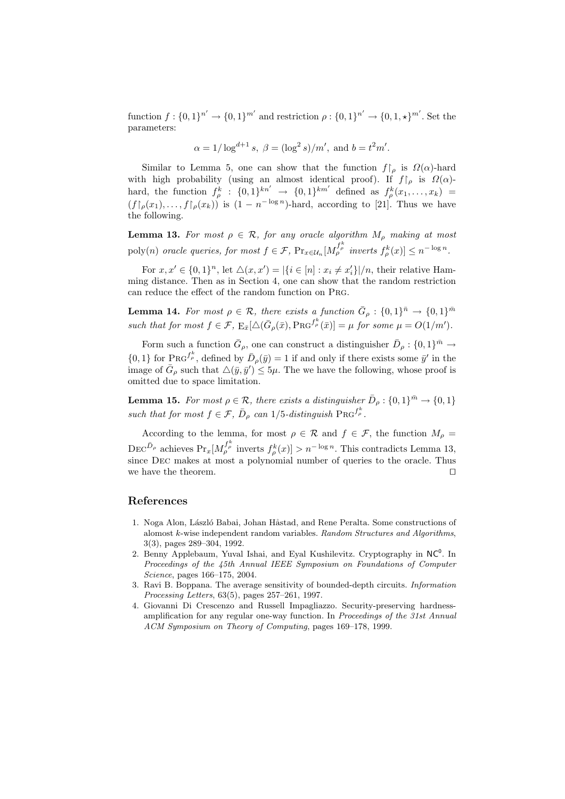function  $f: \{0,1\}^{n'} \to \{0,1\}^{m'}$  and restriction  $\rho: \{0,1\}^{n'} \to \{0,1,\star\}^{m'}$ . Set the parameters:

$$
\alpha = 1/\log^{d+1} s
$$
,  $\beta = (\log^2 s)/m'$ , and  $b = t^2 m'$ .

Similar to Lemma 5, one can show that the function  $f|_{\rho}$  is  $\Omega(\alpha)$ -hard with high probability (using an almost identical proof). If  $f|_{\rho}$  is  $\Omega(\alpha)$ hard, the function  $f_{\rho}^k$ :  $\{0,1\}^{kn'} \rightarrow \{0,1\}^{km'}$  defined as  $f_{\rho}^k(x_1,\ldots,x_k)$  =  $(f\upharpoonright_{\rho}(x_1),\ldots,f\upharpoonright_{\rho}(x_k))$  is  $(1-n^{-\log n})$ -hard, according to [21]. Thus we have the following.

**Lemma 13.** For most  $\rho \in \mathcal{R}$ , for any oracle algorithm  $M_{\rho}$  making at most  $\text{poly}(n)$  oracle queries, for most  $f \in \mathcal{F}$ ,  $\Pr_{x \in \mathcal{U}_n} [M_{\rho}^{f_{\rho}^k}$  inverts  $f_{\rho}^k(x)] \leq n^{-\log n}$ .

For  $x, x' \in \{0, 1\}^n$ , let  $\triangle(x, x') = |\{i \in [n] : x_i \neq x'_i\}|/n$ , their relative Hamming distance. Then as in Section 4, one can show that the random restriction can reduce the effect of the random function on PRG.

**Lemma 14.** For most  $\rho \in \mathcal{R}$ , there exists a function  $\bar{G}_{\rho} : \{0,1\}^{\bar{n}} \to \{0,1\}^{\bar{m}}$ such that for most  $f \in \mathcal{F}$ ,  $E_{\bar{x}}[\Delta(\bar{G}_{\rho}(\bar{x}), \text{PrG}^{f_{\rho}^{k}}(\bar{x})] = \mu$  for some  $\mu = O(1/m')$ .

Form such a function  $\bar{G}_{\rho}$ , one can construct a distinguisher  $\bar{D}_{\rho}: \{0,1\}^{\bar{m}} \to$  $\{0,1\}$  for PRG<sup>f<sub>p</sub></sup>, defined by  $\bar{D}_{\rho}(\bar{y}) = 1$  if and only if there exists some  $\bar{y}'$  in the image of  $\bar{G}_{\rho}$  such that  $\Delta(\bar{y}, \bar{y}') \leq 5\mu$ . The we have the following, whose proof is omitted due to space limitation.

**Lemma 15.** For most  $\rho \in \mathcal{R}$ , there exists a distinguisher  $\bar{D}_{\rho}$ :  $\{0,1\}^{\bar{m}} \to \{0,1\}$ such that for most  $f \in \mathcal{F}$ ,  $\bar{D}_{\rho}$  can 1/5-distinguish  $\text{PrG}^{f_{\rho}^k}$ .

According to the lemma, for most  $\rho \in \mathcal{R}$  and  $f \in \mathcal{F}$ , the function  $M_{\rho} =$  $\text{Dec}^{\bar{D}_{\rho}}$  achieves  $\text{Pr}_{x}[M_{\rho}^{f_{\rho}^{k}}]$  inverts  $f_{\rho}^{k}(x)] > n^{-\log n}$ . This contradicts Lemma 13, since Dec makes at most a polynomial number of queries to the oracle. Thus we have the theorem.

## References

- 1. Noga Alon, László Babai, Johan Håstad, and Rene Peralta. Some constructions of alomost k-wise independent random variables. Random Structures and Algorithms, 3(3), pages 289–304, 1992.
- 2. Benny Applebaum, Yuval Ishai, and Eyal Kushilevitz. Cryptography in  $NC^0$ . In Proceedings of the 45th Annual IEEE Symposium on Foundations of Computer Science, pages 166–175, 2004.
- 3. Ravi B. Boppana. The average sensitivity of bounded-depth circuits. Information Processing Letters, 63(5), pages 257–261, 1997.
- 4. Giovanni Di Crescenzo and Russell Impagliazzo. Security-preserving hardnessamplification for any regular one-way function. In Proceedings of the 31st Annual ACM Symposium on Theory of Computing, pages 169–178, 1999.